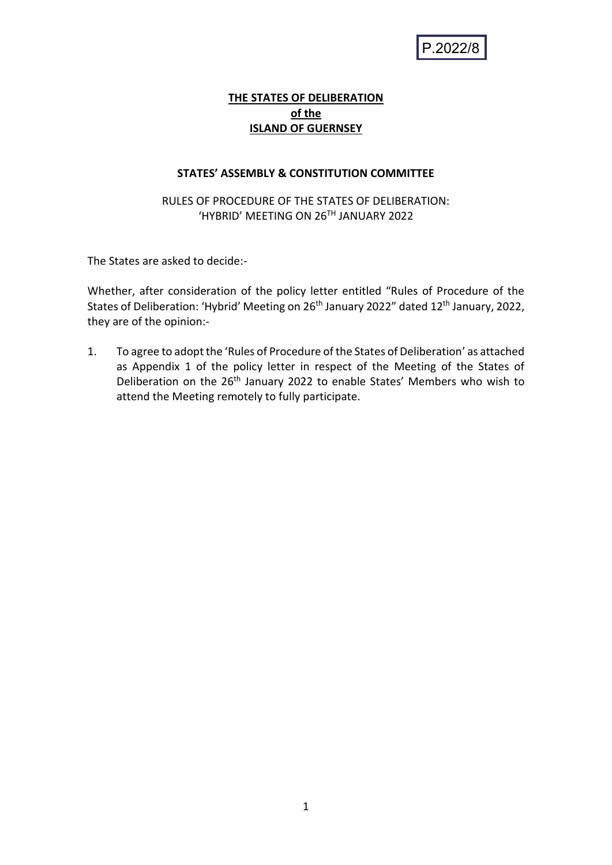P.2022/8

## **THE STATES OF DELIBERATION of the ISLAND OF GUERNSEY**

#### **STATES' ASSEMBLY & CONSTITUTION COMMITTEE**

## RULES OF PROCEDURE OF THE STATES OF DELIBERATION: 'HYBRID' MEETING ON 26TH JANUARY 2022

The States are asked to decide:-

Whether, after consideration of the policy letter entitled "Rules of Procedure of the States of Deliberation: 'Hybrid' Meeting on 26<sup>th</sup> January 2022" dated 12<sup>th</sup> January, 2022, they are of the opinion:-

1. To agree to adopt the 'Rules of Procedure of the States of Deliberation' as attached as Appendix 1 of the policy letter in respect of the Meeting of the States of Deliberation on the 26<sup>th</sup> January 2022 to enable States' Members who wish to attend the Meeting remotely to fully participate.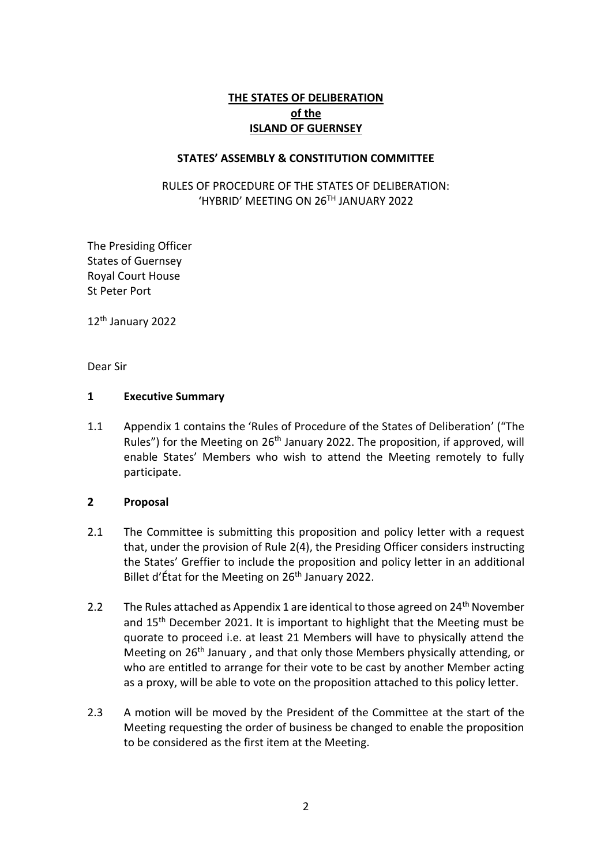## **THE STATES OF DELIBERATION of the ISLAND OF GUERNSEY**

#### **STATES' ASSEMBLY & CONSTITUTION COMMITTEE**

RULES OF PROCEDURE OF THE STATES OF DELIBERATION: 'HYBRID' MEETING ON 26TH JANUARY 2022

The Presiding Officer States of Guernsey Royal Court House St Peter Port

12th January 2022

Dear Sir

#### **1 Executive Summary**

1.1 Appendix 1 contains the 'Rules of Procedure of the States of Deliberation' ("The Rules") for the Meeting on 26<sup>th</sup> January 2022. The proposition, if approved, will enable States' Members who wish to attend the Meeting remotely to fully participate.

#### **2 Proposal**

- 2.1 The Committee is submitting this proposition and policy letter with a request that, under the provision of Rule 2(4), the Presiding Officer considers instructing the States' Greffier to include the proposition and policy letter in an additional Billet d'État for the Meeting on 26<sup>th</sup> January 2022.
- 2.2 The Rules attached as Appendix 1 are identical to those agreed on 24<sup>th</sup> November and 15<sup>th</sup> December 2021. It is important to highlight that the Meeting must be quorate to proceed i.e. at least 21 Members will have to physically attend the Meeting on 26<sup>th</sup> January, and that only those Members physically attending, or who are entitled to arrange for their vote to be cast by another Member acting as a proxy, will be able to vote on the proposition attached to this policy letter.
- 2.3 A motion will be moved by the President of the Committee at the start of the Meeting requesting the order of business be changed to enable the proposition to be considered as the first item at the Meeting.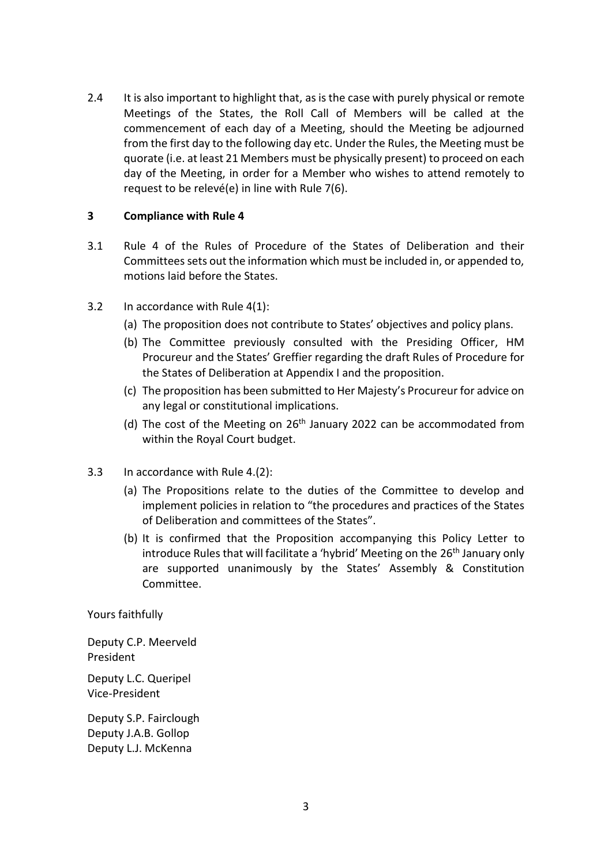2.4 It is also important to highlight that, as is the case with purely physical or remote Meetings of the States, the Roll Call of Members will be called at the commencement of each day of a Meeting, should the Meeting be adjourned from the first day to the following day etc. Under the Rules, the Meeting must be quorate (i.e. at least 21 Members must be physically present) to proceed on each day of the Meeting, in order for a Member who wishes to attend remotely to request to be relevé(e) in line with Rule 7(6).

#### **3 Compliance with Rule 4**

- 3.1 Rule 4 of the Rules of Procedure of the States of Deliberation and their Committees sets out the information which must be included in, or appended to, motions laid before the States.
- 3.2 In accordance with Rule 4(1):
	- (a) The proposition does not contribute to States' objectives and policy plans.
	- (b) The Committee previously consulted with the Presiding Officer, HM Procureur and the States' Greffier regarding the draft Rules of Procedure for the States of Deliberation at Appendix I and the proposition.
	- (c) The proposition has been submitted to Her Majesty's Procureur for advice on any legal or constitutional implications.
	- (d) The cost of the Meeting on 26<sup>th</sup> January 2022 can be accommodated from within the Royal Court budget.
- 3.3 In accordance with Rule 4.(2):
	- (a) The Propositions relate to the duties of the Committee to develop and implement policies in relation to "the procedures and practices of the States of Deliberation and committees of the States".
	- (b) It is confirmed that the Proposition accompanying this Policy Letter to introduce Rules that will facilitate a 'hybrid' Meeting on the 26<sup>th</sup> January only are supported unanimously by the States' Assembly & Constitution Committee.

Yours faithfully

Deputy C.P. Meerveld President

Deputy L.C. Queripel Vice-President

Deputy S.P. Fairclough Deputy J.A.B. Gollop Deputy L.J. McKenna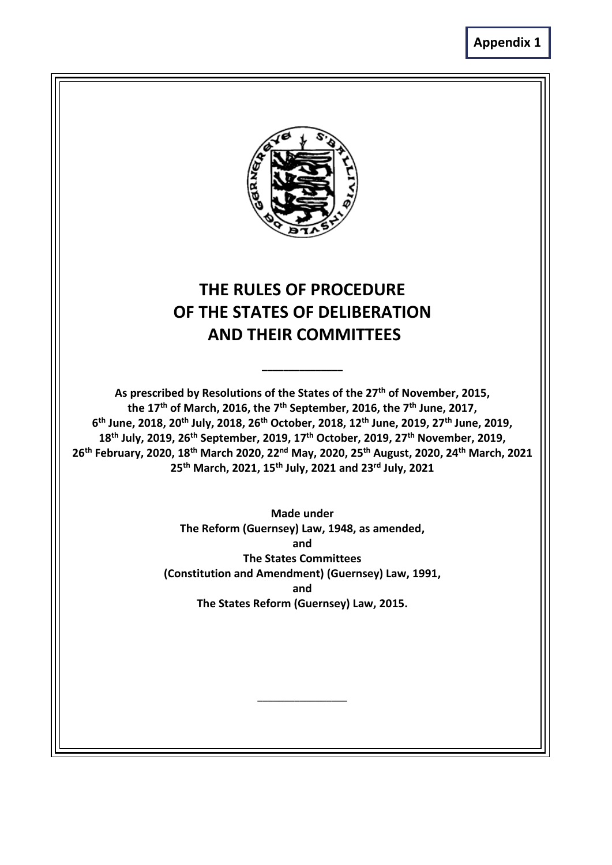

# **THE RULES OF PROCEDURE OF THE STATES OF DELIBERATION AND THEIR COMMITTEES**

**\_\_\_\_\_\_\_\_\_\_\_\_\_\_\_**

**As prescribed by Resolutions of the States of the 27th of November, 2015, the 17th of March, 2016, the 7th September, 2016, the 7th June, 2017, th June, 2018, 20th July, 2018, 26th October, 2018, 12th June, 2019, 27th June, 2019, th July, 2019, 26th September, 2019, 17th October, 2019, 27th November, 2019, th February, 2020, 18th March 2020, 22nd May, 2020, 25th August, 2020, 24th March, 2021 th March, 2021, 15th July, 2021 and 23rd July, 2021**

> **Made under The Reform (Guernsey) Law, 1948, as amended, and The States Committees (Constitution and Amendment) (Guernsey) Law, 1991, and The States Reform (Guernsey) Law, 2015.**

> > **\_\_\_\_\_\_\_\_\_\_\_\_\_\_\_\_\_**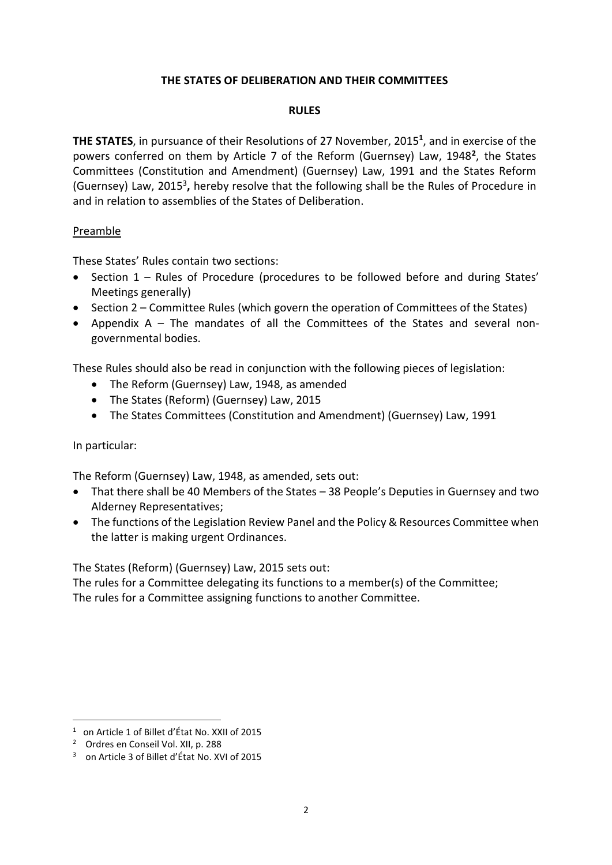## **THE STATES OF DELIBERATION AND THEIR COMMITTEES**

#### **RULES**

**THE STATES**, in pursuance of their Resolutions of 27 November, 2015**<sup>1</sup>** , and in exercise of the powers conferred on them by Article 7 of the Reform (Guernsey) Law, 1948**<sup>2</sup>** , the States Committees (Constitution and Amendment) (Guernsey) Law, 1991 and the States Reform (Guernsey) Law, 2015<sup>3</sup> **,** hereby resolve that the following shall be the Rules of Procedure in and in relation to assemblies of the States of Deliberation.

#### Preamble

These States' Rules contain two sections:

- Section 1 Rules of Procedure (procedures to be followed before and during States' Meetings generally)
- Section 2 Committee Rules (which govern the operation of Committees of the States)
- Appendix A The mandates of all the Committees of the States and several nongovernmental bodies.

These Rules should also be read in conjunction with the following pieces of legislation:

- The Reform (Guernsey) Law, 1948, as amended
- The States (Reform) (Guernsey) Law, 2015
- The States Committees (Constitution and Amendment) (Guernsey) Law, 1991

In particular:

The Reform (Guernsey) Law, 1948, as amended, sets out:

- That there shall be 40 Members of the States 38 People's Deputies in Guernsey and two Alderney Representatives;
- The functions of the Legislation Review Panel and the Policy & Resources Committee when the latter is making urgent Ordinances.

The States (Reform) (Guernsey) Law, 2015 sets out:

The rules for a Committee delegating its functions to a member(s) of the Committee; The rules for a Committee assigning functions to another Committee.

<sup>1</sup> on Article 1 of Billet d'État No. XXII of 2015

<sup>2</sup> Ordres en Conseil Vol. XII, p. 288

<sup>3</sup> on Article 3 of Billet d'État No. XVI of 2015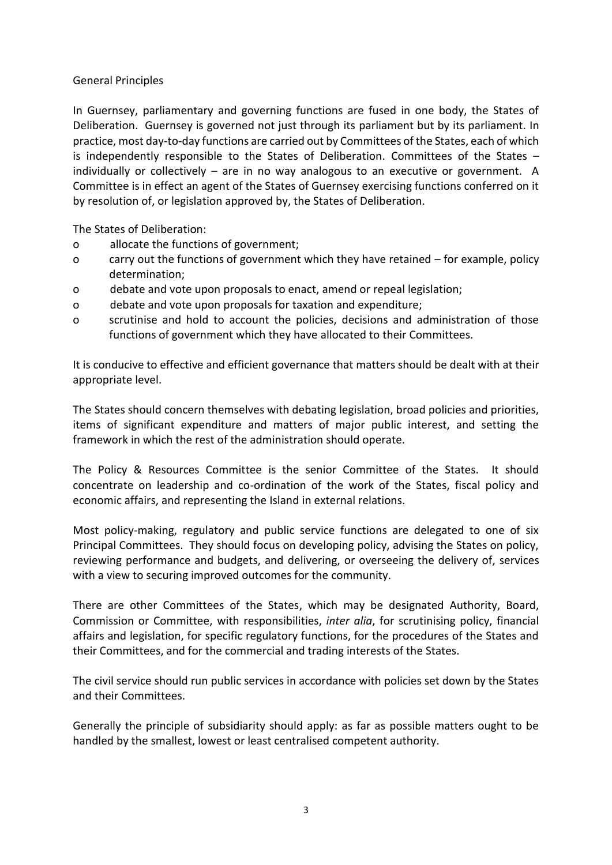#### General Principles

In Guernsey, parliamentary and governing functions are fused in one body, the States of Deliberation. Guernsey is governed not just through its parliament but by its parliament. In practice, most day-to-day functions are carried out by Committees of the States, each of which is independently responsible to the States of Deliberation. Committees of the States – individually or collectively – are in no way analogous to an executive or government. A Committee is in effect an agent of the States of Guernsey exercising functions conferred on it by resolution of, or legislation approved by, the States of Deliberation.

The States of Deliberation:

- o allocate the functions of government;
- o carry out the functions of government which they have retained for example, policy determination;
- o debate and vote upon proposals to enact, amend or repeal legislation;
- o debate and vote upon proposals for taxation and expenditure;
- o scrutinise and hold to account the policies, decisions and administration of those functions of government which they have allocated to their Committees.

It is conducive to effective and efficient governance that matters should be dealt with at their appropriate level.

The States should concern themselves with debating legislation, broad policies and priorities, items of significant expenditure and matters of major public interest, and setting the framework in which the rest of the administration should operate.

The Policy & Resources Committee is the senior Committee of the States. It should concentrate on leadership and co-ordination of the work of the States, fiscal policy and economic affairs, and representing the Island in external relations.

Most policy-making, regulatory and public service functions are delegated to one of six Principal Committees. They should focus on developing policy, advising the States on policy, reviewing performance and budgets, and delivering, or overseeing the delivery of, services with a view to securing improved outcomes for the community.

There are other Committees of the States, which may be designated Authority, Board, Commission or Committee, with responsibilities, *inter alia*, for scrutinising policy, financial affairs and legislation, for specific regulatory functions, for the procedures of the States and their Committees, and for the commercial and trading interests of the States.

The civil service should run public services in accordance with policies set down by the States and their Committees.

Generally the principle of subsidiarity should apply: as far as possible matters ought to be handled by the smallest, lowest or least centralised competent authority.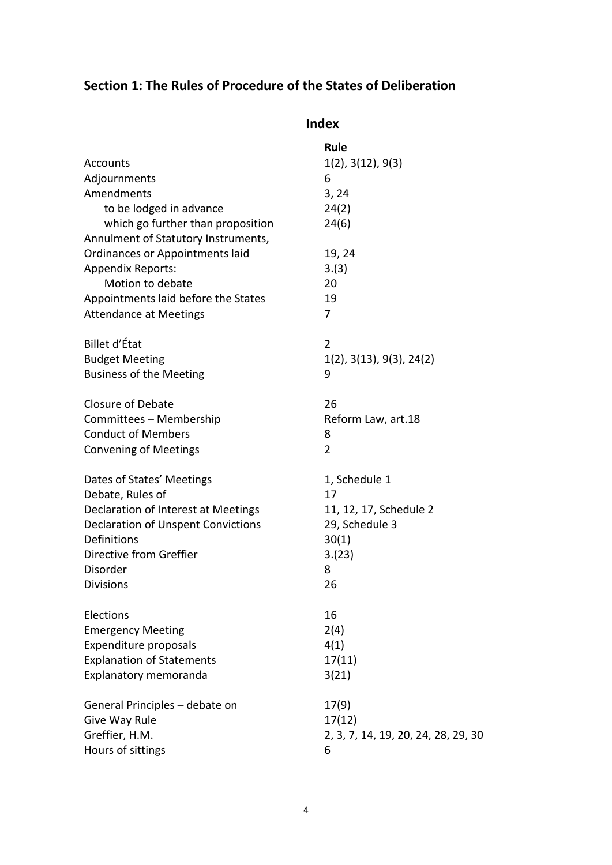## **Section 1: The Rules of Procedure of the States of Deliberation**

| <b>Index</b>                                                             |                                     |
|--------------------------------------------------------------------------|-------------------------------------|
| Accounts                                                                 | Rule<br>1(2), 3(12), 9(3)           |
|                                                                          | 6                                   |
| Adjournments<br>Amendments                                               |                                     |
| to be lodged in advance                                                  | 3, 24                               |
|                                                                          | 24(2)                               |
| which go further than proposition<br>Annulment of Statutory Instruments, | 24(6)                               |
| Ordinances or Appointments laid                                          | 19, 24                              |
| <b>Appendix Reports:</b>                                                 | 3.(3)                               |
| Motion to debate                                                         | 20                                  |
| Appointments laid before the States                                      | 19                                  |
|                                                                          | 7                                   |
| <b>Attendance at Meetings</b>                                            |                                     |
| Billet d'État                                                            | 2                                   |
| <b>Budget Meeting</b>                                                    | $1(2)$ , $3(13)$ , $9(3)$ , $24(2)$ |
| <b>Business of the Meeting</b>                                           | 9                                   |
| <b>Closure of Debate</b>                                                 | 26                                  |
| Committees - Membership                                                  | Reform Law, art.18                  |
| <b>Conduct of Members</b>                                                | 8                                   |
| <b>Convening of Meetings</b>                                             | $\overline{2}$                      |
| Dates of States' Meetings                                                | 1, Schedule 1                       |
| Debate, Rules of                                                         | 17                                  |
| Declaration of Interest at Meetings                                      | 11, 12, 17, Schedule 2              |
| <b>Declaration of Unspent Convictions</b>                                | 29, Schedule 3                      |
| Definitions                                                              | 30(1)                               |
| Directive from Greffier                                                  | 3.(23)                              |
| Disorder                                                                 | 8                                   |
| <b>Divisions</b>                                                         | 26                                  |
| Elections                                                                | 16                                  |
| <b>Emergency Meeting</b>                                                 | 2(4)                                |
| Expenditure proposals                                                    | 4(1)                                |
| <b>Explanation of Statements</b>                                         | 17(11)                              |
| Explanatory memoranda                                                    | 3(21)                               |
| General Principles - debate on                                           | 17(9)                               |
| Give Way Rule                                                            | 17(12)                              |
| Greffier, H.M.                                                           | 2, 3, 7, 14, 19, 20, 24, 28, 29, 30 |
| Hours of sittings                                                        | 6                                   |
|                                                                          |                                     |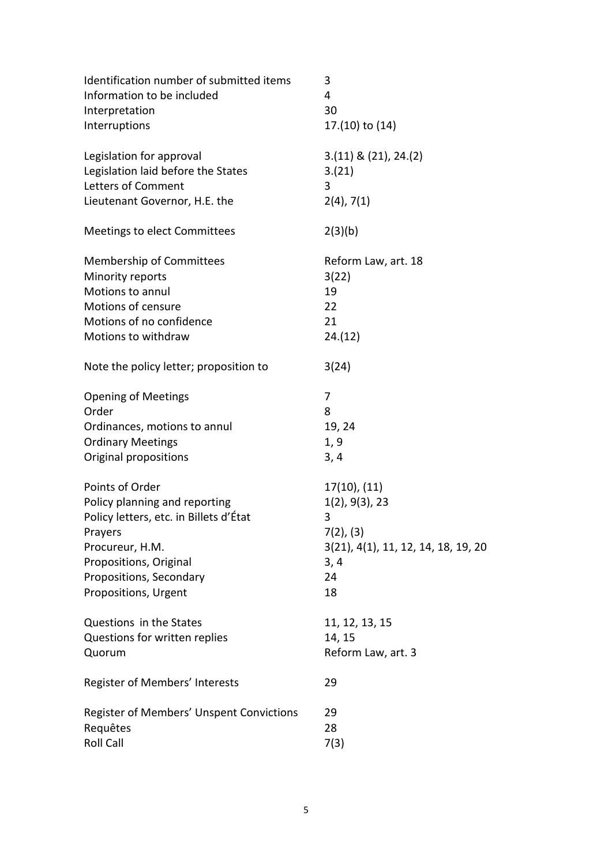| Identification number of submitted items | 3                                   |
|------------------------------------------|-------------------------------------|
| Information to be included               | 4                                   |
| Interpretation                           | 30                                  |
| Interruptions                            | 17.(10) to (14)                     |
| Legislation for approval                 | $3.(11) \& (21), 24.(2)$            |
| Legislation laid before the States       | 3.(21)                              |
| Letters of Comment                       | 3                                   |
| Lieutenant Governor, H.E. the            | $2(4)$ , 7(1)                       |
| Meetings to elect Committees             | 2(3)(b)                             |
| Membership of Committees                 | Reform Law, art. 18                 |
| Minority reports                         | 3(22)                               |
| Motions to annul                         | 19                                  |
| Motions of censure                       | 22                                  |
| Motions of no confidence                 | 21                                  |
| Motions to withdraw                      | 24.(12)                             |
| Note the policy letter; proposition to   | 3(24)                               |
| <b>Opening of Meetings</b>               | 7                                   |
| Order                                    | 8                                   |
| Ordinances, motions to annul             | 19, 24                              |
| <b>Ordinary Meetings</b>                 | 1, 9                                |
| Original propositions                    | 3, 4                                |
| Points of Order                          | 17(10), (11)                        |
| Policy planning and reporting            | 1(2), 9(3), 23                      |
| Policy letters, etc. in Billets d'État   | 3                                   |
| Prayers                                  | 7(2), (3)                           |
| Procureur, H.M.                          | 3(21), 4(1), 11, 12, 14, 18, 19, 20 |
| Propositions, Original                   | 3, 4                                |
| Propositions, Secondary                  | 24                                  |
| Propositions, Urgent                     | 18                                  |
| Questions in the States                  | 11, 12, 13, 15                      |
| Questions for written replies            | 14, 15                              |
| Quorum                                   | Reform Law, art. 3                  |
| Register of Members' Interests           | 29                                  |
| Register of Members' Unspent Convictions | 29                                  |
| Requêtes                                 | 28                                  |
| <b>Roll Call</b>                         | 7(3)                                |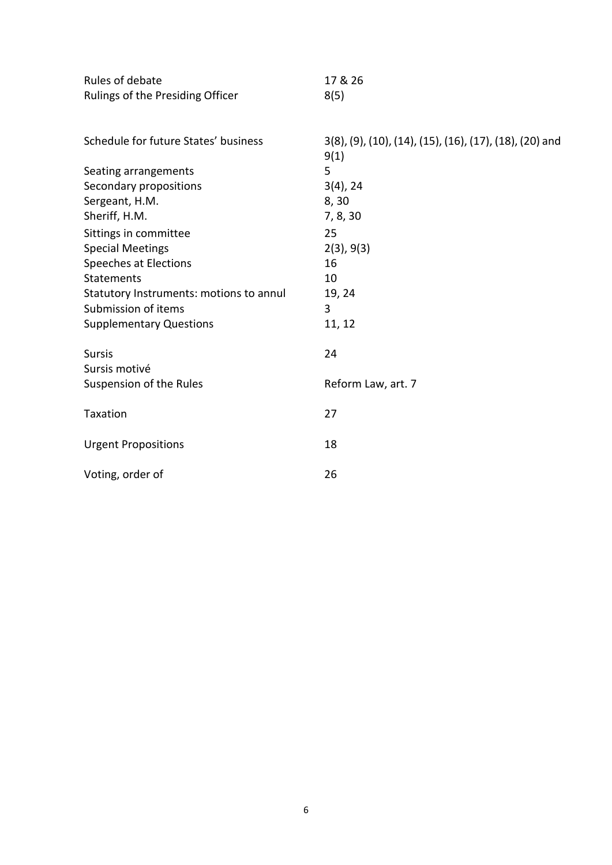| Rules of debate                         | 17 & 26                                                         |
|-----------------------------------------|-----------------------------------------------------------------|
| Rulings of the Presiding Officer        | 8(5)                                                            |
|                                         |                                                                 |
| Schedule for future States' business    | 3(8), (9), (10), (14), (15), (16), (17), (18), (20) and<br>9(1) |
| Seating arrangements                    | 5                                                               |
| Secondary propositions                  | $3(4)$ , 24                                                     |
| Sergeant, H.M.                          | 8,30                                                            |
| Sheriff, H.M.                           | 7, 8, 30                                                        |
| Sittings in committee                   | 25                                                              |
| <b>Special Meetings</b>                 | 2(3), 9(3)                                                      |
| Speeches at Elections                   | 16                                                              |
| <b>Statements</b>                       | 10                                                              |
| Statutory Instruments: motions to annul | 19, 24                                                          |
| Submission of items                     | 3                                                               |
| <b>Supplementary Questions</b>          | 11, 12                                                          |
| <b>Sursis</b><br>Sursis motivé          | 24                                                              |
| Suspension of the Rules                 | Reform Law, art. 7                                              |
|                                         |                                                                 |
| Taxation                                | 27                                                              |
| <b>Urgent Propositions</b>              | 18                                                              |
| Voting, order of                        | 26                                                              |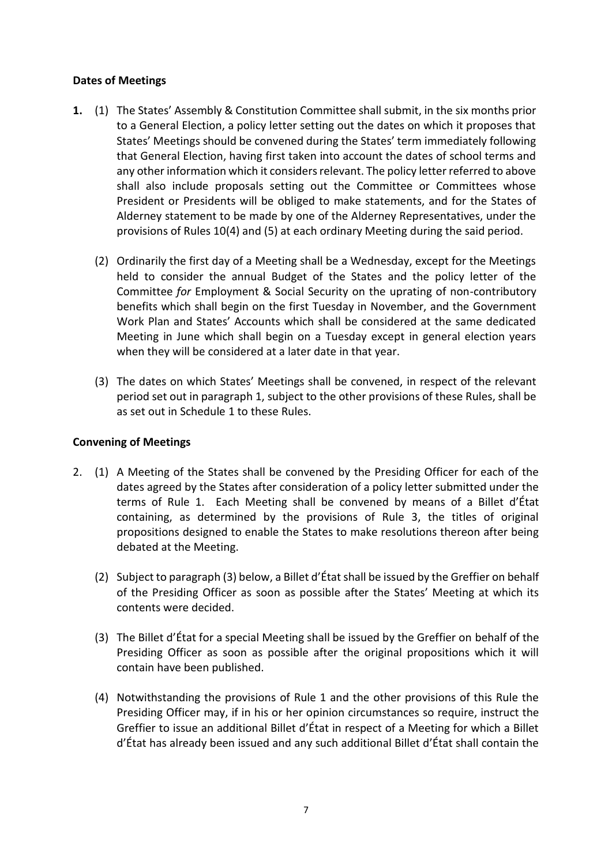#### **Dates of Meetings**

- **1.** (1) The States' Assembly & Constitution Committee shall submit, in the six months prior to a General Election, a policy letter setting out the dates on which it proposes that States' Meetings should be convened during the States' term immediately following that General Election, having first taken into account the dates of school terms and any other information which it considers relevant. The policy letter referred to above shall also include proposals setting out the Committee or Committees whose President or Presidents will be obliged to make statements, and for the States of Alderney statement to be made by one of the Alderney Representatives, under the provisions of Rules 10(4) and (5) at each ordinary Meeting during the said period.
	- (2) Ordinarily the first day of a Meeting shall be a Wednesday, except for the Meetings held to consider the annual Budget of the States and the policy letter of the Committee *for* Employment & Social Security on the uprating of non-contributory benefits which shall begin on the first Tuesday in November, and the Government Work Plan and States' Accounts which shall be considered at the same dedicated Meeting in June which shall begin on a Tuesday except in general election years when they will be considered at a later date in that year.
	- (3) The dates on which States' Meetings shall be convened, in respect of the relevant period set out in paragraph 1, subject to the other provisions of these Rules, shall be as set out in Schedule 1 to these Rules.

## **Convening of Meetings**

- 2. (1) A Meeting of the States shall be convened by the Presiding Officer for each of the dates agreed by the States after consideration of a policy letter submitted under the terms of Rule 1. Each Meeting shall be convened by means of a Billet d'État containing, as determined by the provisions of Rule 3, the titles of original propositions designed to enable the States to make resolutions thereon after being debated at the Meeting.
	- (2) Subject to paragraph (3) below, a Billet d'État shall be issued by the Greffier on behalf of the Presiding Officer as soon as possible after the States' Meeting at which its contents were decided.
	- (3) The Billet d'État for a special Meeting shall be issued by the Greffier on behalf of the Presiding Officer as soon as possible after the original propositions which it will contain have been published.
	- (4) Notwithstanding the provisions of Rule 1 and the other provisions of this Rule the Presiding Officer may, if in his or her opinion circumstances so require, instruct the Greffier to issue an additional Billet d'État in respect of a Meeting for which a Billet d'État has already been issued and any such additional Billet d'État shall contain the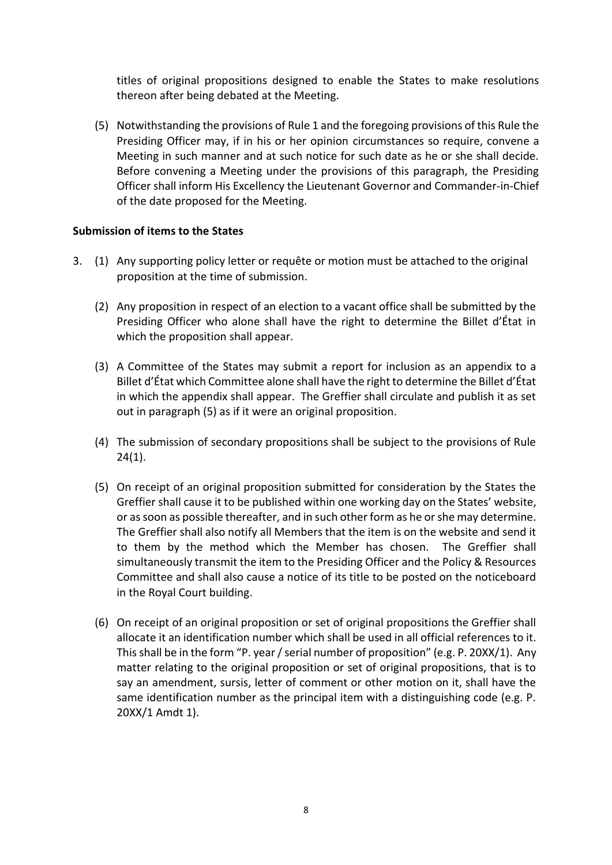titles of original propositions designed to enable the States to make resolutions thereon after being debated at the Meeting.

(5) Notwithstanding the provisions of Rule 1 and the foregoing provisions of this Rule the Presiding Officer may, if in his or her opinion circumstances so require, convene a Meeting in such manner and at such notice for such date as he or she shall decide. Before convening a Meeting under the provisions of this paragraph, the Presiding Officer shall inform His Excellency the Lieutenant Governor and Commander-in-Chief of the date proposed for the Meeting.

## **Submission of items to the States**

- 3. (1) Any supporting policy letter or requête or motion must be attached to the original proposition at the time of submission.
	- (2) Any proposition in respect of an election to a vacant office shall be submitted by the Presiding Officer who alone shall have the right to determine the Billet d'État in which the proposition shall appear.
	- (3) A Committee of the States may submit a report for inclusion as an appendix to a Billet d'État which Committee alone shall have the right to determine the Billet d'État in which the appendix shall appear. The Greffier shall circulate and publish it as set out in paragraph (5) as if it were an original proposition.
	- (4) The submission of secondary propositions shall be subject to the provisions of Rule 24(1).
	- (5) On receipt of an original proposition submitted for consideration by the States the Greffier shall cause it to be published within one working day on the States' website, or as soon as possible thereafter, and in such other form as he or she may determine. The Greffier shall also notify all Members that the item is on the website and send it to them by the method which the Member has chosen. The Greffier shall simultaneously transmit the item to the Presiding Officer and the Policy & Resources Committee and shall also cause a notice of its title to be posted on the noticeboard in the Royal Court building.
	- (6) On receipt of an original proposition or set of original propositions the Greffier shall allocate it an identification number which shall be used in all official references to it. This shall be in the form "P. year / serial number of proposition" (e.g. P. 20XX/1). Any matter relating to the original proposition or set of original propositions, that is to say an amendment, sursis, letter of comment or other motion on it, shall have the same identification number as the principal item with a distinguishing code (e.g. P. 20XX/1 Amdt 1).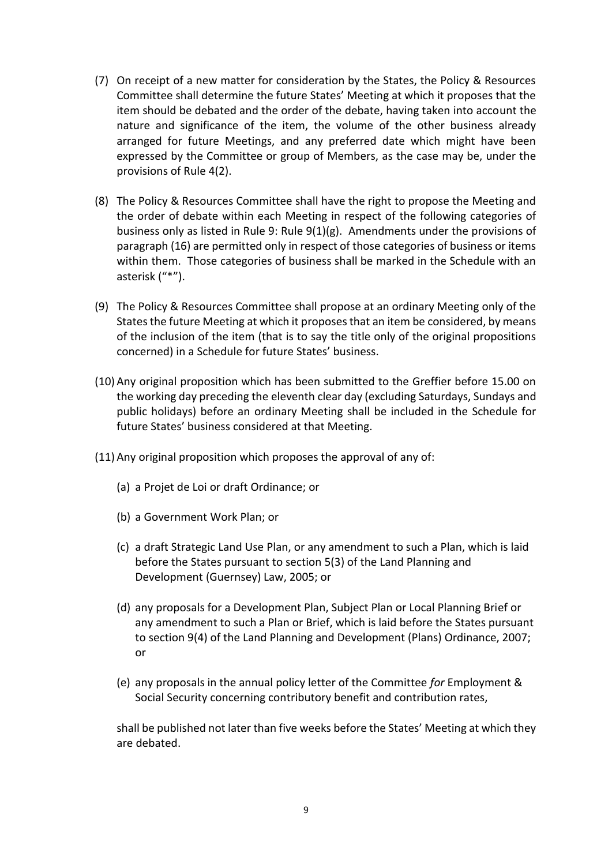- (7) On receipt of a new matter for consideration by the States, the Policy & Resources Committee shall determine the future States' Meeting at which it proposes that the item should be debated and the order of the debate, having taken into account the nature and significance of the item, the volume of the other business already arranged for future Meetings, and any preferred date which might have been expressed by the Committee or group of Members, as the case may be, under the provisions of Rule 4(2).
- (8) The Policy & Resources Committee shall have the right to propose the Meeting and the order of debate within each Meeting in respect of the following categories of business only as listed in Rule 9: Rule 9(1)(g). Amendments under the provisions of paragraph (16) are permitted only in respect of those categories of business or items within them. Those categories of business shall be marked in the Schedule with an asterisk ("\*").
- (9) The Policy & Resources Committee shall propose at an ordinary Meeting only of the States the future Meeting at which it proposes that an item be considered, by means of the inclusion of the item (that is to say the title only of the original propositions concerned) in a Schedule for future States' business.
- (10) Any original proposition which has been submitted to the Greffier before 15.00 on the working day preceding the eleventh clear day (excluding Saturdays, Sundays and public holidays) before an ordinary Meeting shall be included in the Schedule for future States' business considered at that Meeting.
- (11) Any original proposition which proposes the approval of any of:
	- (a) a Projet de Loi or draft Ordinance; or
	- (b) a Government Work Plan; or
	- (c) a draft Strategic Land Use Plan, or any amendment to such a Plan, which is laid before the States pursuant to section 5(3) of the Land Planning and Development (Guernsey) Law, 2005; or
	- (d) any proposals for a Development Plan, Subject Plan or Local Planning Brief or any amendment to such a Plan or Brief, which is laid before the States pursuant to section 9(4) of the Land Planning and Development (Plans) Ordinance, 2007; or
	- (e) any proposals in the annual policy letter of the Committee *for* Employment & Social Security concerning contributory benefit and contribution rates,

shall be published not later than five weeks before the States' Meeting at which they are debated.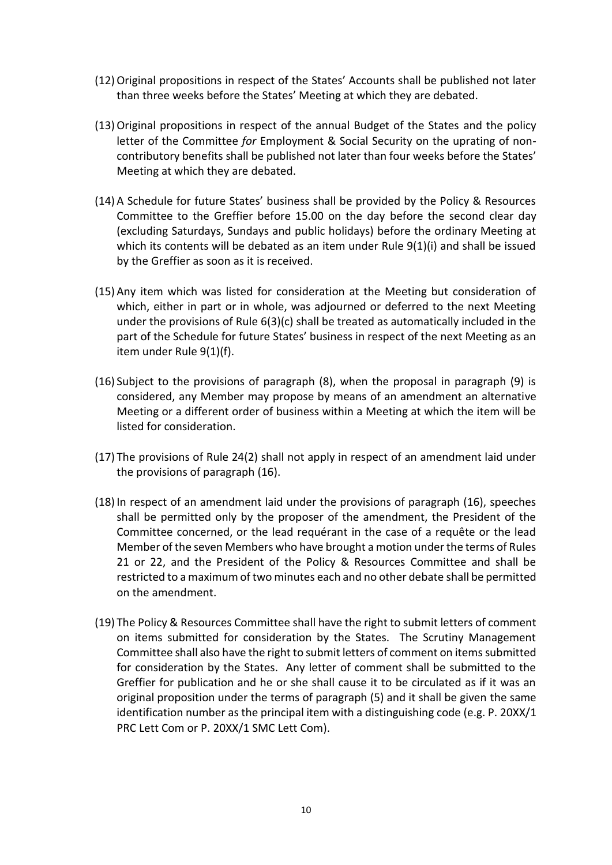- (12)Original propositions in respect of the States' Accounts shall be published not later than three weeks before the States' Meeting at which they are debated.
- (13)Original propositions in respect of the annual Budget of the States and the policy letter of the Committee *for* Employment & Social Security on the uprating of noncontributory benefits shall be published not later than four weeks before the States' Meeting at which they are debated.
- (14) A Schedule for future States' business shall be provided by the Policy & Resources Committee to the Greffier before 15.00 on the day before the second clear day (excluding Saturdays, Sundays and public holidays) before the ordinary Meeting at which its contents will be debated as an item under Rule 9(1)(i) and shall be issued by the Greffier as soon as it is received.
- (15) Any item which was listed for consideration at the Meeting but consideration of which, either in part or in whole, was adjourned or deferred to the next Meeting under the provisions of Rule 6(3)(c) shall be treated as automatically included in the part of the Schedule for future States' business in respect of the next Meeting as an item under Rule 9(1)(f).
- (16) Subject to the provisions of paragraph (8), when the proposal in paragraph (9) is considered, any Member may propose by means of an amendment an alternative Meeting or a different order of business within a Meeting at which the item will be listed for consideration.
- (17) The provisions of Rule 24(2) shall not apply in respect of an amendment laid under the provisions of paragraph (16).
- (18)In respect of an amendment laid under the provisions of paragraph (16), speeches shall be permitted only by the proposer of the amendment, the President of the Committee concerned, or the lead requérant in the case of a requête or the lead Member of the seven Members who have brought a motion under the terms of Rules 21 or 22, and the President of the Policy & Resources Committee and shall be restricted to a maximum of two minutes each and no other debate shall be permitted on the amendment.
- (19) The Policy & Resources Committee shall have the right to submit letters of comment on items submitted for consideration by the States. The Scrutiny Management Committee shall also have the right to submit letters of comment on items submitted for consideration by the States. Any letter of comment shall be submitted to the Greffier for publication and he or she shall cause it to be circulated as if it was an original proposition under the terms of paragraph (5) and it shall be given the same identification number as the principal item with a distinguishing code (e.g. P. 20XX/1 PRC Lett Com or P. 20XX/1 SMC Lett Com).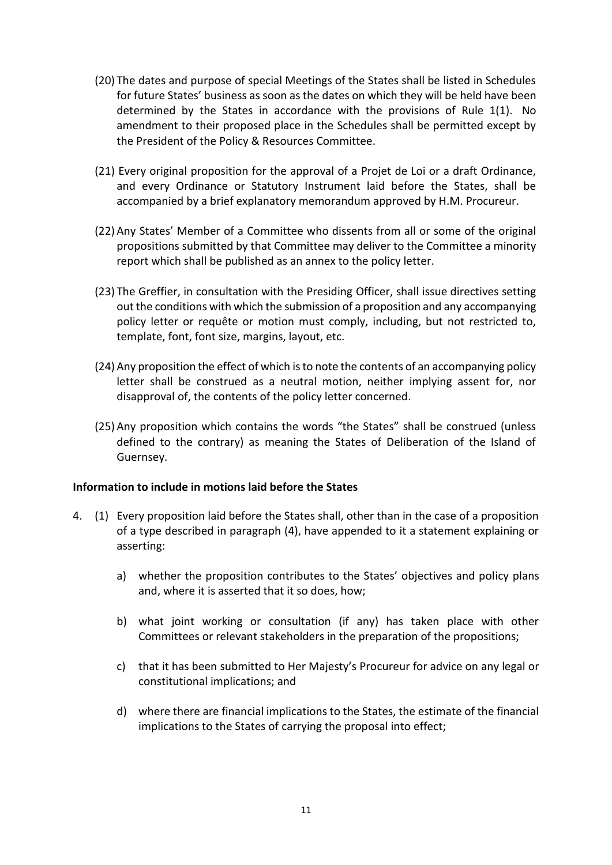- (20) The dates and purpose of special Meetings of the States shall be listed in Schedules for future States' business as soon as the dates on which they will be held have been determined by the States in accordance with the provisions of Rule 1(1). No amendment to their proposed place in the Schedules shall be permitted except by the President of the Policy & Resources Committee.
- (21) Every original proposition for the approval of a Projet de Loi or a draft Ordinance, and every Ordinance or Statutory Instrument laid before the States, shall be accompanied by a brief explanatory memorandum approved by H.M. Procureur.
- (22) Any States' Member of a Committee who dissents from all or some of the original propositions submitted by that Committee may deliver to the Committee a minority report which shall be published as an annex to the policy letter.
- (23) The Greffier, in consultation with the Presiding Officer, shall issue directives setting out the conditions with which the submission of a proposition and any accompanying policy letter or requête or motion must comply, including, but not restricted to, template, font, font size, margins, layout, etc.
- (24) Any proposition the effect of which is to note the contents of an accompanying policy letter shall be construed as a neutral motion, neither implying assent for, nor disapproval of, the contents of the policy letter concerned.
- (25) Any proposition which contains the words "the States" shall be construed (unless defined to the contrary) as meaning the States of Deliberation of the Island of Guernsey.

#### **Information to include in motions laid before the States**

- 4. (1) Every proposition laid before the States shall, other than in the case of a proposition of a type described in paragraph (4), have appended to it a statement explaining or asserting:
	- a) whether the proposition contributes to the States' objectives and policy plans and, where it is asserted that it so does, how;
	- b) what joint working or consultation (if any) has taken place with other Committees or relevant stakeholders in the preparation of the propositions;
	- c) that it has been submitted to Her Majesty's Procureur for advice on any legal or constitutional implications; and
	- d) where there are financial implications to the States, the estimate of the financial implications to the States of carrying the proposal into effect;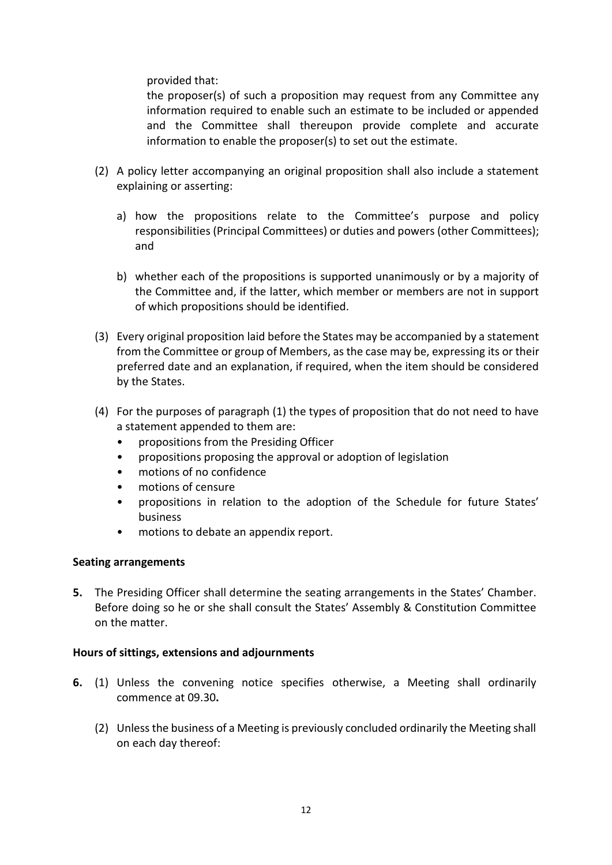provided that:

the proposer(s) of such a proposition may request from any Committee any information required to enable such an estimate to be included or appended and the Committee shall thereupon provide complete and accurate information to enable the proposer(s) to set out the estimate.

- (2) A policy letter accompanying an original proposition shall also include a statement explaining or asserting:
	- a) how the propositions relate to the Committee's purpose and policy responsibilities (Principal Committees) or duties and powers (other Committees); and
	- b) whether each of the propositions is supported unanimously or by a majority of the Committee and, if the latter, which member or members are not in support of which propositions should be identified.
- (3) Every original proposition laid before the States may be accompanied by a statement from the Committee or group of Members, as the case may be, expressing its or their preferred date and an explanation, if required, when the item should be considered by the States.
- (4) For the purposes of paragraph (1) the types of proposition that do not need to have a statement appended to them are:
	- propositions from the Presiding Officer
	- propositions proposing the approval or adoption of legislation
	- motions of no confidence
	- motions of censure
	- propositions in relation to the adoption of the Schedule for future States' business
	- motions to debate an appendix report.

#### **Seating arrangements**

**5.** The Presiding Officer shall determine the seating arrangements in the States' Chamber. Before doing so he or she shall consult the States' Assembly & Constitution Committee on the matter.

## **Hours of sittings, extensions and adjournments**

- **6.** (1) Unless the convening notice specifies otherwise, a Meeting shall ordinarily commence at 09.30**.**
	- (2) Unless the business of a Meeting is previously concluded ordinarily the Meeting shall on each day thereof: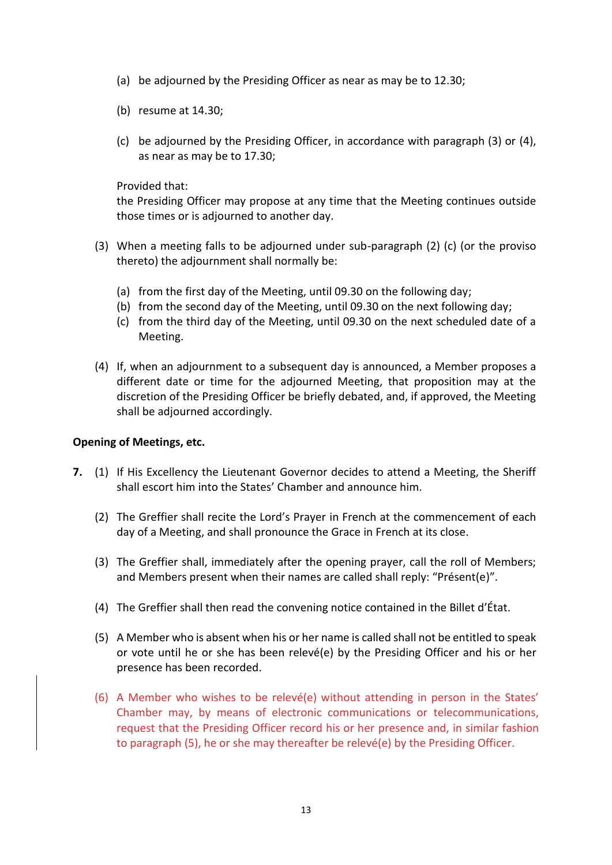- (a) be adjourned by the Presiding Officer as near as may be to 12.30;
- (b) resume at 14.30;
- (c) be adjourned by the Presiding Officer, in accordance with paragraph (3) or (4), as near as may be to 17.30;

Provided that:

the Presiding Officer may propose at any time that the Meeting continues outside those times or is adjourned to another day.

- (3) When a meeting falls to be adjourned under sub-paragraph (2) (c) (or the proviso thereto) the adjournment shall normally be:
	- (a) from the first day of the Meeting, until 09.30 on the following day;
	- (b) from the second day of the Meeting, until 09.30 on the next following day;
	- (c) from the third day of the Meeting, until 09.30 on the next scheduled date of a Meeting.
- (4) If, when an adjournment to a subsequent day is announced, a Member proposes a different date or time for the adjourned Meeting, that proposition may at the discretion of the Presiding Officer be briefly debated, and, if approved, the Meeting shall be adjourned accordingly.

#### **Opening of Meetings, etc.**

- **7.** (1) If His Excellency the Lieutenant Governor decides to attend a Meeting, the Sheriff shall escort him into the States' Chamber and announce him.
	- (2) The Greffier shall recite the Lord's Prayer in French at the commencement of each day of a Meeting, and shall pronounce the Grace in French at its close.
	- (3) The Greffier shall, immediately after the opening prayer, call the roll of Members; and Members present when their names are called shall reply: "Présent(e)".
	- (4) The Greffier shall then read the convening notice contained in the Billet d'État.
	- (5) A Member who is absent when his or her name is called shall not be entitled to speak or vote until he or she has been relevé(e) by the Presiding Officer and his or her presence has been recorded.
	- (6) A Member who wishes to be relevé(e) without attending in person in the States' Chamber may, by means of electronic communications or telecommunications, request that the Presiding Officer record his or her presence and, in similar fashion to paragraph (5), he or she may thereafter be relevé(e) by the Presiding Officer.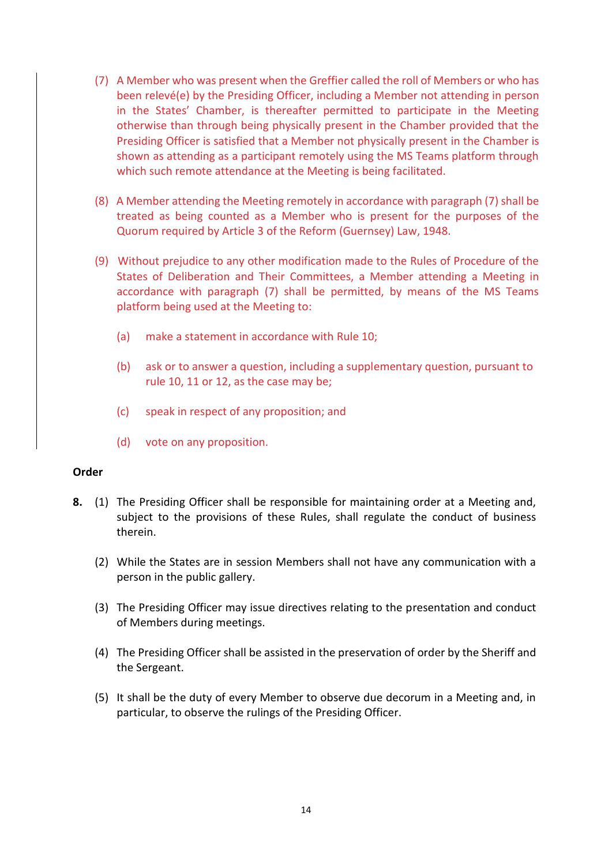- (7) A Member who was present when the Greffier called the roll of Members or who has been relevé(e) by the Presiding Officer, including a Member not attending in person in the States' Chamber, is thereafter permitted to participate in the Meeting otherwise than through being physically present in the Chamber provided that the Presiding Officer is satisfied that a Member not physically present in the Chamber is shown as attending as a participant remotely using the MS Teams platform through which such remote attendance at the Meeting is being facilitated.
- (8) A Member attending the Meeting remotely in accordance with paragraph (7) shall be treated as being counted as a Member who is present for the purposes of the Quorum required by Article 3 of the Reform (Guernsey) Law, 1948.
- (9) Without prejudice to any other modification made to the Rules of Procedure of the States of Deliberation and Their Committees, a Member attending a Meeting in accordance with paragraph (7) shall be permitted, by means of the MS Teams platform being used at the Meeting to:
	- (a) make a statement in accordance with Rule 10;
	- (b) ask or to answer a question, including a supplementary question, pursuant to rule 10, 11 or 12, as the case may be;
	- (c) speak in respect of any proposition; and
	- (d) vote on any proposition.

#### **Order**

- **8.** (1) The Presiding Officer shall be responsible for maintaining order at a Meeting and, subject to the provisions of these Rules, shall regulate the conduct of business therein.
	- (2) While the States are in session Members shall not have any communication with a person in the public gallery.
	- (3) The Presiding Officer may issue directives relating to the presentation and conduct of Members during meetings.
	- (4) The Presiding Officer shall be assisted in the preservation of order by the Sheriff and the Sergeant.
	- (5) It shall be the duty of every Member to observe due decorum in a Meeting and, in particular, to observe the rulings of the Presiding Officer.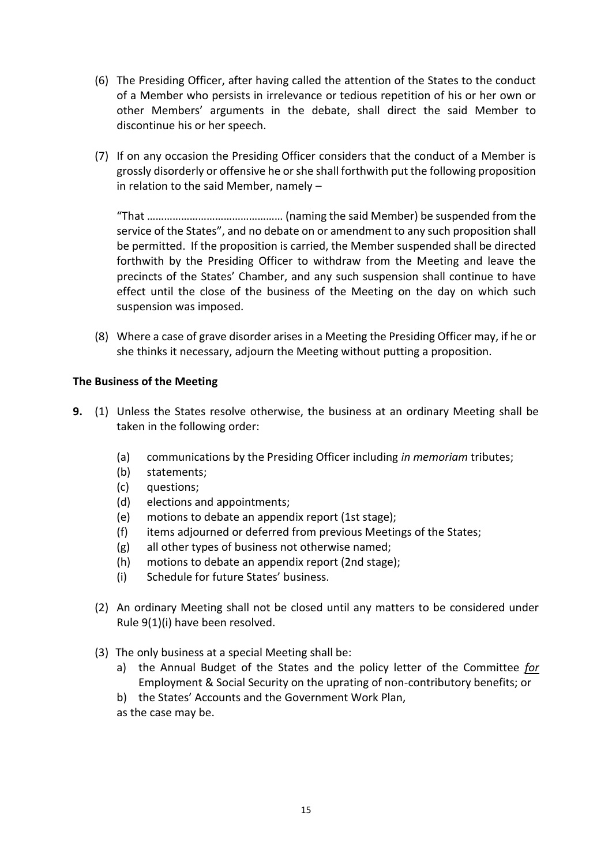- (6) The Presiding Officer, after having called the attention of the States to the conduct of a Member who persists in irrelevance or tedious repetition of his or her own or other Members' arguments in the debate, shall direct the said Member to discontinue his or her speech.
- (7) If on any occasion the Presiding Officer considers that the conduct of a Member is grossly disorderly or offensive he or she shall forthwith put the following proposition in relation to the said Member, namely –

"That ………………………………………… (naming the said Member) be suspended from the service of the States", and no debate on or amendment to any such proposition shall be permitted. If the proposition is carried, the Member suspended shall be directed forthwith by the Presiding Officer to withdraw from the Meeting and leave the precincts of the States' Chamber, and any such suspension shall continue to have effect until the close of the business of the Meeting on the day on which such suspension was imposed.

(8) Where a case of grave disorder arises in a Meeting the Presiding Officer may, if he or she thinks it necessary, adjourn the Meeting without putting a proposition.

## **The Business of the Meeting**

- **9.** (1) Unless the States resolve otherwise, the business at an ordinary Meeting shall be taken in the following order:
	- (a) communications by the Presiding Officer including *in memoriam* tributes;
	- (b) statements;
	- (c) questions;
	- (d) elections and appointments;
	- (e) motions to debate an appendix report (1st stage);
	- (f) items adjourned or deferred from previous Meetings of the States;
	- (g) all other types of business not otherwise named;
	- (h) motions to debate an appendix report (2nd stage);
	- (i) Schedule for future States' business.
	- (2) An ordinary Meeting shall not be closed until any matters to be considered under Rule 9(1)(i) have been resolved.
	- (3) The only business at a special Meeting shall be:
		- a) the Annual Budget of the States and the policy letter of the Committee *for* Employment & Social Security on the uprating of non-contributory benefits; or
		- b) the States' Accounts and the Government Work Plan,
		- as the case may be.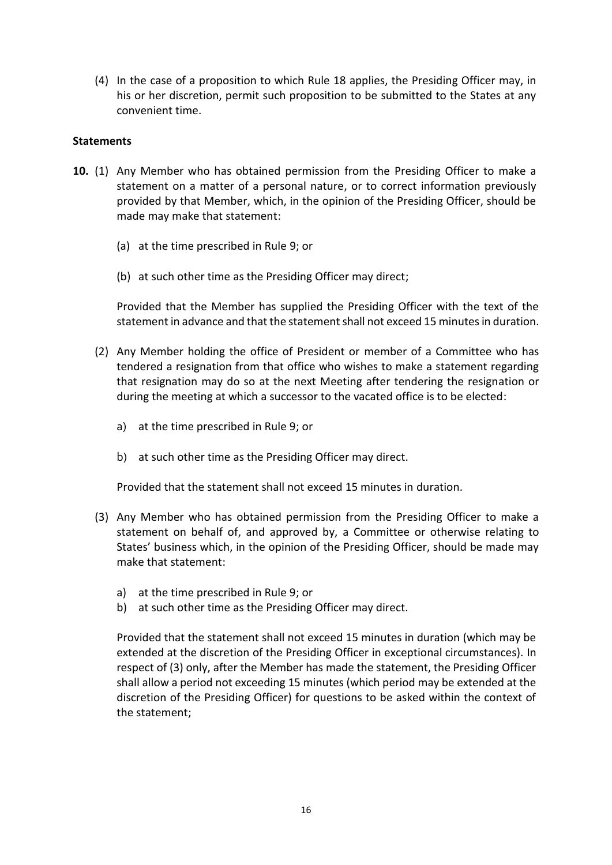(4) In the case of a proposition to which Rule 18 applies, the Presiding Officer may, in his or her discretion, permit such proposition to be submitted to the States at any convenient time.

#### **Statements**

- **10.** (1) Any Member who has obtained permission from the Presiding Officer to make a statement on a matter of a personal nature, or to correct information previously provided by that Member, which, in the opinion of the Presiding Officer, should be made may make that statement:
	- (a) at the time prescribed in Rule 9; or
	- (b) at such other time as the Presiding Officer may direct;

Provided that the Member has supplied the Presiding Officer with the text of the statement in advance and that the statement shall not exceed 15 minutes in duration.

- (2) Any Member holding the office of President or member of a Committee who has tendered a resignation from that office who wishes to make a statement regarding that resignation may do so at the next Meeting after tendering the resignation or during the meeting at which a successor to the vacated office is to be elected:
	- a) at the time prescribed in Rule 9; or
	- b) at such other time as the Presiding Officer may direct.

Provided that the statement shall not exceed 15 minutes in duration.

- (3) Any Member who has obtained permission from the Presiding Officer to make a statement on behalf of, and approved by, a Committee or otherwise relating to States' business which, in the opinion of the Presiding Officer, should be made may make that statement:
	- a) at the time prescribed in Rule 9; or
	- b) at such other time as the Presiding Officer may direct.

Provided that the statement shall not exceed 15 minutes in duration (which may be extended at the discretion of the Presiding Officer in exceptional circumstances). In respect of (3) only, after the Member has made the statement, the Presiding Officer shall allow a period not exceeding 15 minutes (which period may be extended at the discretion of the Presiding Officer) for questions to be asked within the context of the statement;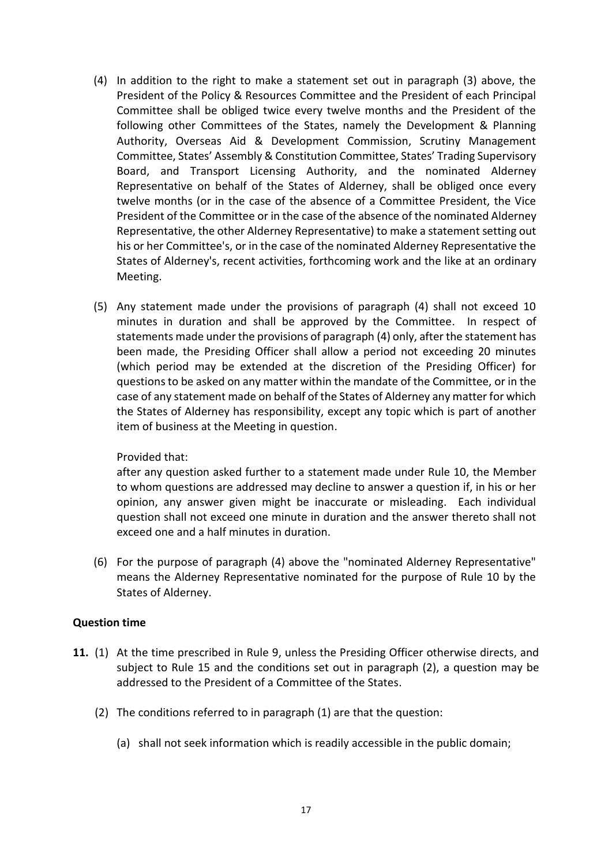- (4) In addition to the right to make a statement set out in paragraph (3) above, the President of the Policy & Resources Committee and the President of each Principal Committee shall be obliged twice every twelve months and the President of the following other Committees of the States, namely the Development & Planning Authority, Overseas Aid & Development Commission, Scrutiny Management Committee, States' Assembly & Constitution Committee, States' Trading Supervisory Board, and Transport Licensing Authority, and the nominated Alderney Representative on behalf of the States of Alderney, shall be obliged once every twelve months (or in the case of the absence of a Committee President, the Vice President of the Committee or in the case of the absence of the nominated Alderney Representative, the other Alderney Representative) to make a statement setting out his or her Committee's, or in the case of the nominated Alderney Representative the States of Alderney's, recent activities, forthcoming work and the like at an ordinary Meeting.
- (5) Any statement made under the provisions of paragraph (4) shall not exceed 10 minutes in duration and shall be approved by the Committee. In respect of statements made under the provisions of paragraph (4) only, after the statement has been made, the Presiding Officer shall allow a period not exceeding 20 minutes (which period may be extended at the discretion of the Presiding Officer) for questions to be asked on any matter within the mandate of the Committee, or in the case of any statement made on behalf of the States of Alderney any matter for which the States of Alderney has responsibility, except any topic which is part of another item of business at the Meeting in question.

#### Provided that:

after any question asked further to a statement made under Rule 10, the Member to whom questions are addressed may decline to answer a question if, in his or her opinion, any answer given might be inaccurate or misleading. Each individual question shall not exceed one minute in duration and the answer thereto shall not exceed one and a half minutes in duration.

 (6) For the purpose of paragraph (4) above the "nominated Alderney Representative" means the Alderney Representative nominated for the purpose of Rule 10 by the States of Alderney.

## **Question time**

- **11.** (1) At the time prescribed in Rule 9, unless the Presiding Officer otherwise directs, and subject to Rule 15 and the conditions set out in paragraph (2), a question may be addressed to the President of a Committee of the States.
	- (2) The conditions referred to in paragraph (1) are that the question:
		- (a) shall not seek information which is readily accessible in the public domain;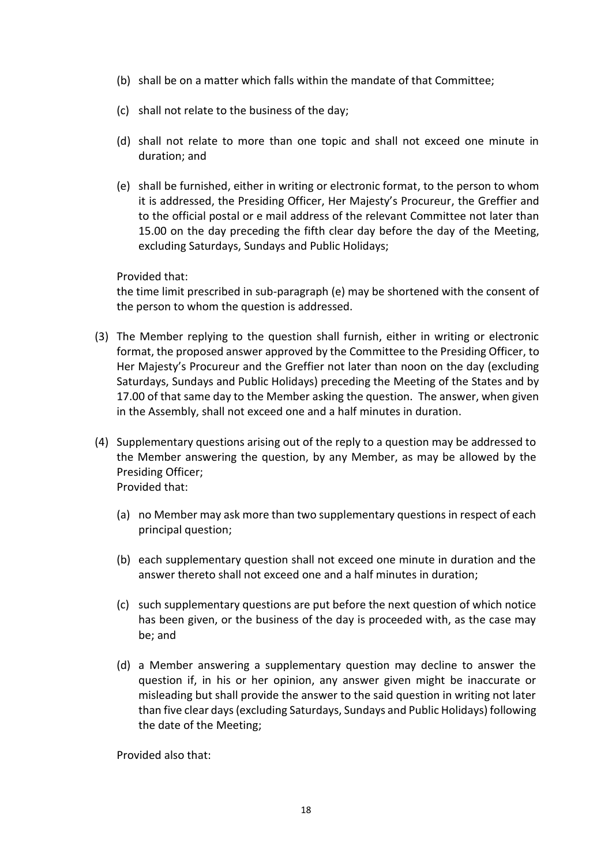- (b) shall be on a matter which falls within the mandate of that Committee;
- (c) shall not relate to the business of the day;
- (d) shall not relate to more than one topic and shall not exceed one minute in duration; and
- (e) shall be furnished, either in writing or electronic format, to the person to whom it is addressed, the Presiding Officer, Her Majesty's Procureur, the Greffier and to the official postal or e mail address of the relevant Committee not later than 15.00 on the day preceding the fifth clear day before the day of the Meeting, excluding Saturdays, Sundays and Public Holidays;

Provided that:

the time limit prescribed in sub-paragraph (e) may be shortened with the consent of the person to whom the question is addressed.

- (3) The Member replying to the question shall furnish, either in writing or electronic format, the proposed answer approved by the Committee to the Presiding Officer, to Her Majesty's Procureur and the Greffier not later than noon on the day (excluding Saturdays, Sundays and Public Holidays) preceding the Meeting of the States and by 17.00 of that same day to the Member asking the question. The answer, when given in the Assembly, shall not exceed one and a half minutes in duration.
- (4) Supplementary questions arising out of the reply to a question may be addressed to the Member answering the question, by any Member, as may be allowed by the Presiding Officer; Provided that:
	- (a) no Member may ask more than two supplementary questions in respect of each principal question;
	- (b) each supplementary question shall not exceed one minute in duration and the answer thereto shall not exceed one and a half minutes in duration;
	- (c) such supplementary questions are put before the next question of which notice has been given, or the business of the day is proceeded with, as the case may be; and
	- (d) a Member answering a supplementary question may decline to answer the question if, in his or her opinion, any answer given might be inaccurate or misleading but shall provide the answer to the said question in writing not later than five clear days (excluding Saturdays, Sundays and Public Holidays) following the date of the Meeting;

Provided also that: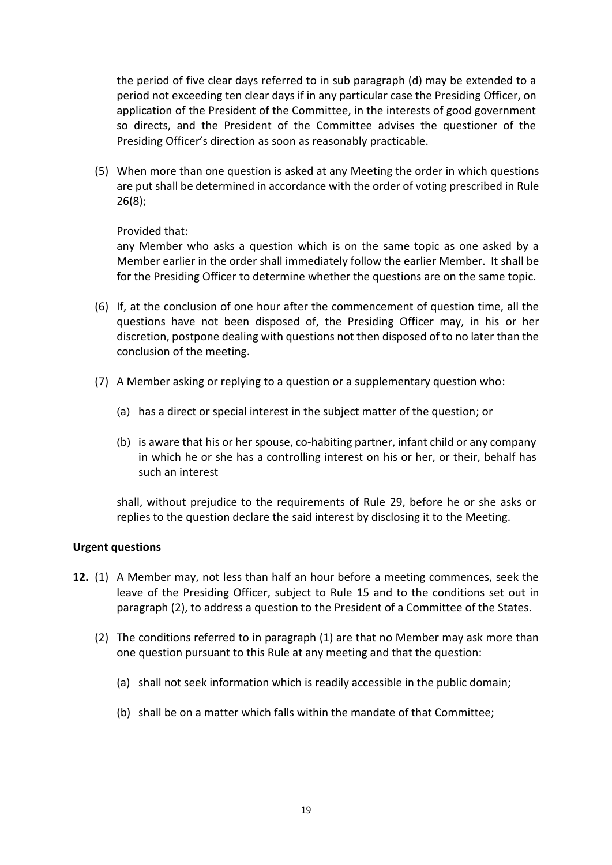the period of five clear days referred to in sub paragraph (d) may be extended to a period not exceeding ten clear days if in any particular case the Presiding Officer, on application of the President of the Committee, in the interests of good government so directs, and the President of the Committee advises the questioner of the Presiding Officer's direction as soon as reasonably practicable.

(5) When more than one question is asked at any Meeting the order in which questions are put shall be determined in accordance with the order of voting prescribed in Rule 26(8);

#### Provided that:

any Member who asks a question which is on the same topic as one asked by a Member earlier in the order shall immediately follow the earlier Member. It shall be for the Presiding Officer to determine whether the questions are on the same topic.

- (6) If, at the conclusion of one hour after the commencement of question time, all the questions have not been disposed of, the Presiding Officer may, in his or her discretion, postpone dealing with questions not then disposed of to no later than the conclusion of the meeting.
- (7) A Member asking or replying to a question or a supplementary question who:
	- (a) has a direct or special interest in the subject matter of the question; or
	- (b) is aware that his or her spouse, co-habiting partner, infant child or any company in which he or she has a controlling interest on his or her, or their, behalf has such an interest

shall, without prejudice to the requirements of Rule 29, before he or she asks or replies to the question declare the said interest by disclosing it to the Meeting.

#### **Urgent questions**

- **12.** (1) A Member may, not less than half an hour before a meeting commences, seek the leave of the Presiding Officer, subject to Rule 15 and to the conditions set out in paragraph (2), to address a question to the President of a Committee of the States.
	- (2) The conditions referred to in paragraph (1) are that no Member may ask more than one question pursuant to this Rule at any meeting and that the question:
		- (a) shall not seek information which is readily accessible in the public domain;
		- (b) shall be on a matter which falls within the mandate of that Committee;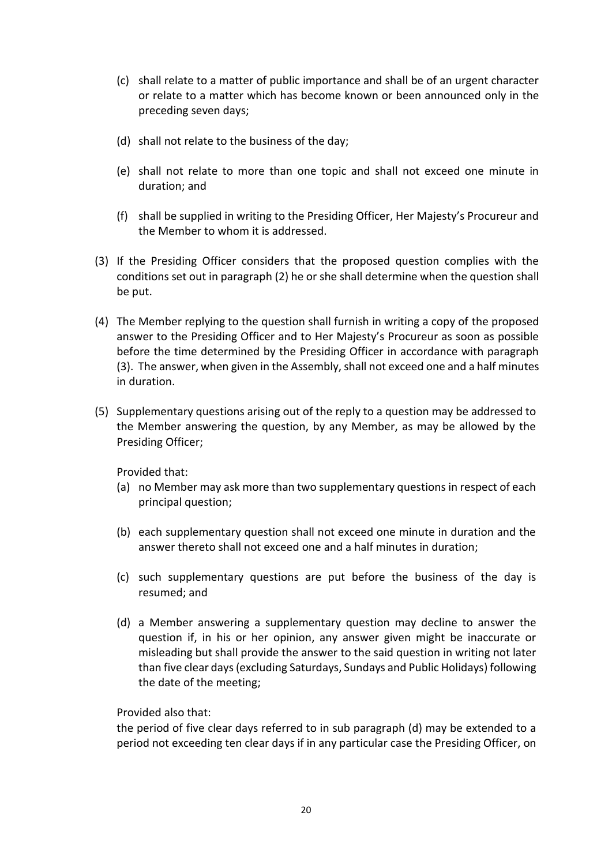- (c) shall relate to a matter of public importance and shall be of an urgent character or relate to a matter which has become known or been announced only in the preceding seven days;
- (d) shall not relate to the business of the day;
- (e) shall not relate to more than one topic and shall not exceed one minute in duration; and
- (f) shall be supplied in writing to the Presiding Officer, Her Majesty's Procureur and the Member to whom it is addressed.
- (3) If the Presiding Officer considers that the proposed question complies with the conditions set out in paragraph (2) he or she shall determine when the question shall be put.
- (4) The Member replying to the question shall furnish in writing a copy of the proposed answer to the Presiding Officer and to Her Majesty's Procureur as soon as possible before the time determined by the Presiding Officer in accordance with paragraph (3). The answer, when given in the Assembly, shall not exceed one and a half minutes in duration.
- (5) Supplementary questions arising out of the reply to a question may be addressed to the Member answering the question, by any Member, as may be allowed by the Presiding Officer;

Provided that:

- (a) no Member may ask more than two supplementary questions in respect of each principal question;
- (b) each supplementary question shall not exceed one minute in duration and the answer thereto shall not exceed one and a half minutes in duration;
- (c) such supplementary questions are put before the business of the day is resumed; and
- (d) a Member answering a supplementary question may decline to answer the question if, in his or her opinion, any answer given might be inaccurate or misleading but shall provide the answer to the said question in writing not later than five clear days (excluding Saturdays, Sundays and Public Holidays) following the date of the meeting;

Provided also that:

the period of five clear days referred to in sub paragraph (d) may be extended to a period not exceeding ten clear days if in any particular case the Presiding Officer, on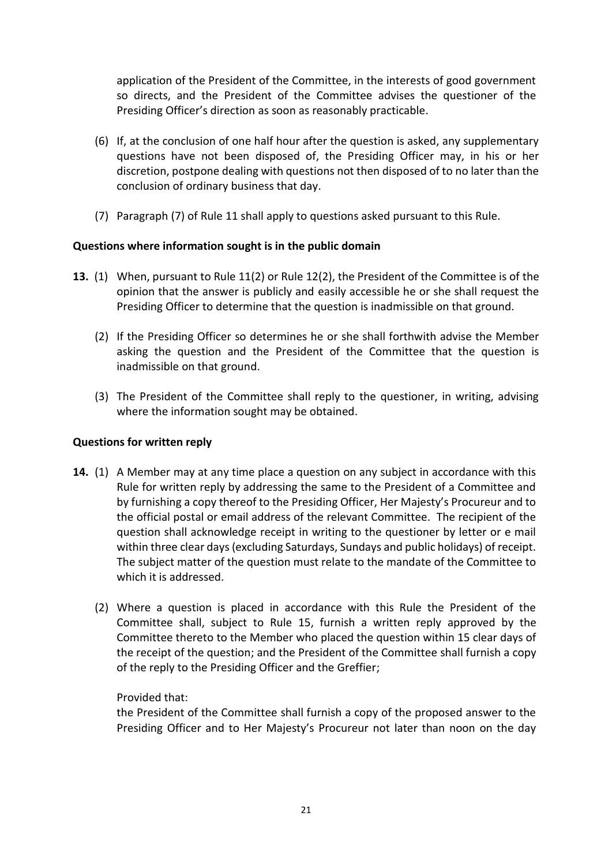application of the President of the Committee, in the interests of good government so directs, and the President of the Committee advises the questioner of the Presiding Officer's direction as soon as reasonably practicable.

- (6) If, at the conclusion of one half hour after the question is asked, any supplementary questions have not been disposed of, the Presiding Officer may, in his or her discretion, postpone dealing with questions not then disposed of to no later than the conclusion of ordinary business that day.
- (7) Paragraph (7) of Rule 11 shall apply to questions asked pursuant to this Rule.

## **Questions where information sought is in the public domain**

- **13.** (1) When, pursuant to Rule 11(2) or Rule 12(2), the President of the Committee is of the opinion that the answer is publicly and easily accessible he or she shall request the Presiding Officer to determine that the question is inadmissible on that ground.
	- (2) If the Presiding Officer so determines he or she shall forthwith advise the Member asking the question and the President of the Committee that the question is inadmissible on that ground.
	- (3) The President of the Committee shall reply to the questioner, in writing, advising where the information sought may be obtained.

## **Questions for written reply**

- **14.** (1) A Member may at any time place a question on any subject in accordance with this Rule for written reply by addressing the same to the President of a Committee and by furnishing a copy thereof to the Presiding Officer, Her Majesty's Procureur and to the official postal or email address of the relevant Committee. The recipient of the question shall acknowledge receipt in writing to the questioner by letter or e mail within three clear days (excluding Saturdays, Sundays and public holidays) of receipt. The subject matter of the question must relate to the mandate of the Committee to which it is addressed.
	- (2) Where a question is placed in accordance with this Rule the President of the Committee shall, subject to Rule 15, furnish a written reply approved by the Committee thereto to the Member who placed the question within 15 clear days of the receipt of the question; and the President of the Committee shall furnish a copy of the reply to the Presiding Officer and the Greffier;

## Provided that:

the President of the Committee shall furnish a copy of the proposed answer to the Presiding Officer and to Her Majesty's Procureur not later than noon on the day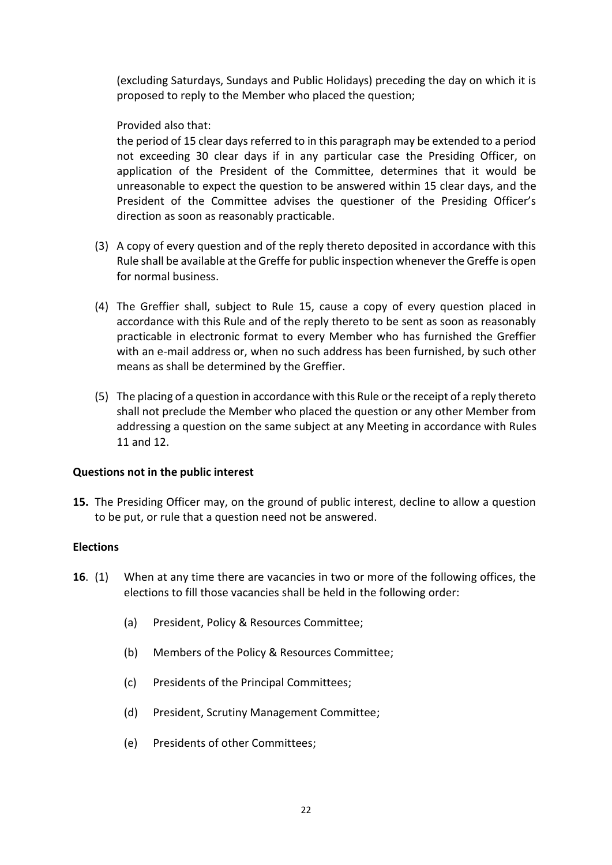(excluding Saturdays, Sundays and Public Holidays) preceding the day on which it is proposed to reply to the Member who placed the question;

## Provided also that:

the period of 15 clear days referred to in this paragraph may be extended to a period not exceeding 30 clear days if in any particular case the Presiding Officer, on application of the President of the Committee, determines that it would be unreasonable to expect the question to be answered within 15 clear days, and the President of the Committee advises the questioner of the Presiding Officer's direction as soon as reasonably practicable.

- (3) A copy of every question and of the reply thereto deposited in accordance with this Rule shall be available at the Greffe for public inspection whenever the Greffe is open for normal business.
- (4) The Greffier shall, subject to Rule 15, cause a copy of every question placed in accordance with this Rule and of the reply thereto to be sent as soon as reasonably practicable in electronic format to every Member who has furnished the Greffier with an e-mail address or, when no such address has been furnished, by such other means as shall be determined by the Greffier.
- (5) The placing of a question in accordance with this Rule or the receipt of a reply thereto shall not preclude the Member who placed the question or any other Member from addressing a question on the same subject at any Meeting in accordance with Rules 11 and 12.

#### **Questions not in the public interest**

**15.** The Presiding Officer may, on the ground of public interest, decline to allow a question to be put, or rule that a question need not be answered.

#### **Elections**

- **16**. (1) When at any time there are vacancies in two or more of the following offices, the elections to fill those vacancies shall be held in the following order:
	- (a) President, Policy & Resources Committee;
	- (b) Members of the Policy & Resources Committee;
	- (c) Presidents of the Principal Committees;
	- (d) President, Scrutiny Management Committee;
	- (e) Presidents of other Committees;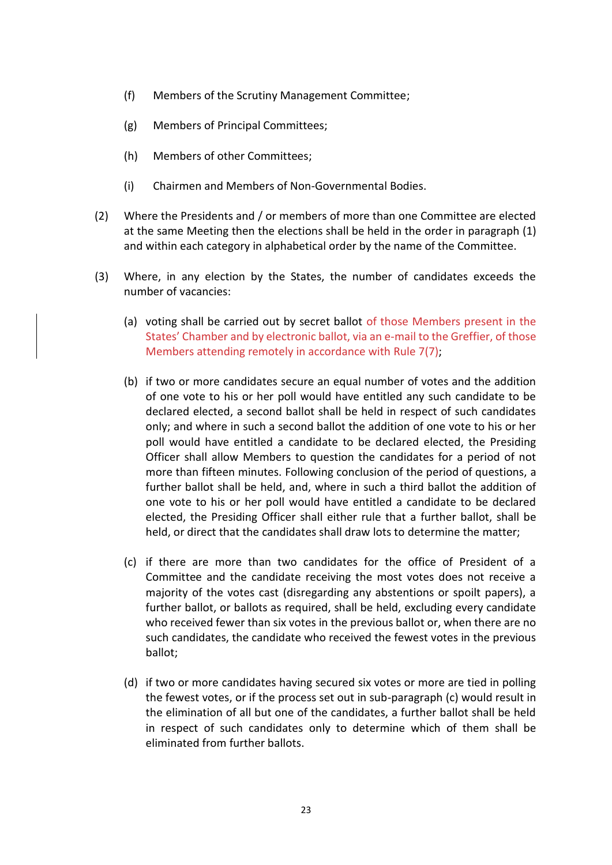- (f) Members of the Scrutiny Management Committee;
- (g) Members of Principal Committees;
- (h) Members of other Committees;
- (i) Chairmen and Members of Non-Governmental Bodies.
- (2) Where the Presidents and / or members of more than one Committee are elected at the same Meeting then the elections shall be held in the order in paragraph (1) and within each category in alphabetical order by the name of the Committee.
- (3) Where, in any election by the States, the number of candidates exceeds the number of vacancies:
	- (a) voting shall be carried out by secret ballot of those Members present in the States' Chamber and by electronic ballot, via an e-mail to the Greffier, of those Members attending remotely in accordance with Rule 7(7);
	- (b) if two or more candidates secure an equal number of votes and the addition of one vote to his or her poll would have entitled any such candidate to be declared elected, a second ballot shall be held in respect of such candidates only; and where in such a second ballot the addition of one vote to his or her poll would have entitled a candidate to be declared elected, the Presiding Officer shall allow Members to question the candidates for a period of not more than fifteen minutes. Following conclusion of the period of questions, a further ballot shall be held, and, where in such a third ballot the addition of one vote to his or her poll would have entitled a candidate to be declared elected, the Presiding Officer shall either rule that a further ballot, shall be held, or direct that the candidates shall draw lots to determine the matter;
	- (c) if there are more than two candidates for the office of President of a Committee and the candidate receiving the most votes does not receive a majority of the votes cast (disregarding any abstentions or spoilt papers), a further ballot, or ballots as required, shall be held, excluding every candidate who received fewer than six votes in the previous ballot or, when there are no such candidates, the candidate who received the fewest votes in the previous ballot;
	- (d) if two or more candidates having secured six votes or more are tied in polling the fewest votes, or if the process set out in sub-paragraph (c) would result in the elimination of all but one of the candidates, a further ballot shall be held in respect of such candidates only to determine which of them shall be eliminated from further ballots.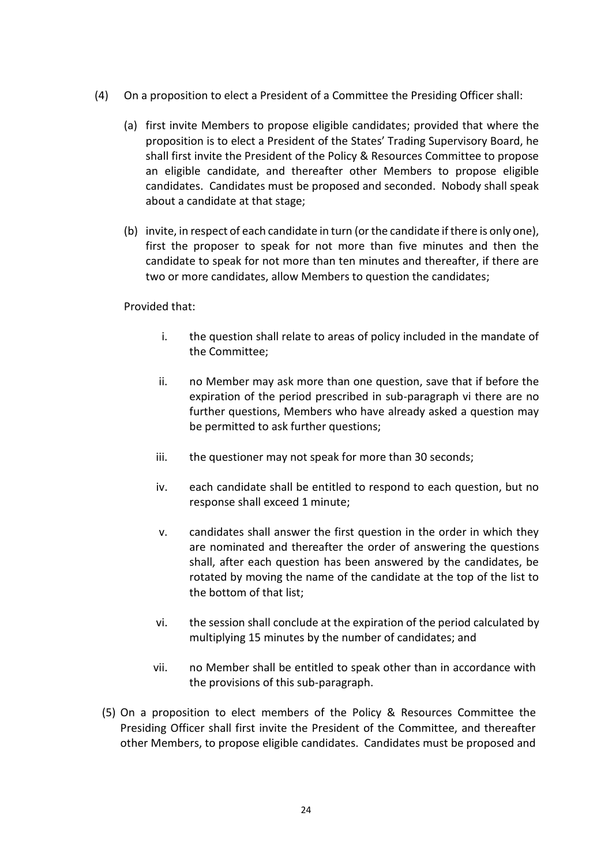- (4) On a proposition to elect a President of a Committee the Presiding Officer shall:
	- (a) first invite Members to propose eligible candidates; provided that where the proposition is to elect a President of the States' Trading Supervisory Board, he shall first invite the President of the Policy & Resources Committee to propose an eligible candidate, and thereafter other Members to propose eligible candidates. Candidates must be proposed and seconded. Nobody shall speak about a candidate at that stage;
	- (b) invite, in respect of each candidate in turn (or the candidate if there is only one), first the proposer to speak for not more than five minutes and then the candidate to speak for not more than ten minutes and thereafter, if there are two or more candidates, allow Members to question the candidates;

Provided that:

- i. the question shall relate to areas of policy included in the mandate of the Committee;
- ii. no Member may ask more than one question, save that if before the expiration of the period prescribed in sub-paragraph vi there are no further questions, Members who have already asked a question may be permitted to ask further questions;
- iii. the questioner may not speak for more than 30 seconds;
- iv. each candidate shall be entitled to respond to each question, but no response shall exceed 1 minute;
- v. candidates shall answer the first question in the order in which they are nominated and thereafter the order of answering the questions shall, after each question has been answered by the candidates, be rotated by moving the name of the candidate at the top of the list to the bottom of that list;
- vi. the session shall conclude at the expiration of the period calculated by multiplying 15 minutes by the number of candidates; and
- vii. no Member shall be entitled to speak other than in accordance with the provisions of this sub-paragraph.
- (5) On a proposition to elect members of the Policy & Resources Committee the Presiding Officer shall first invite the President of the Committee, and thereafter other Members, to propose eligible candidates. Candidates must be proposed and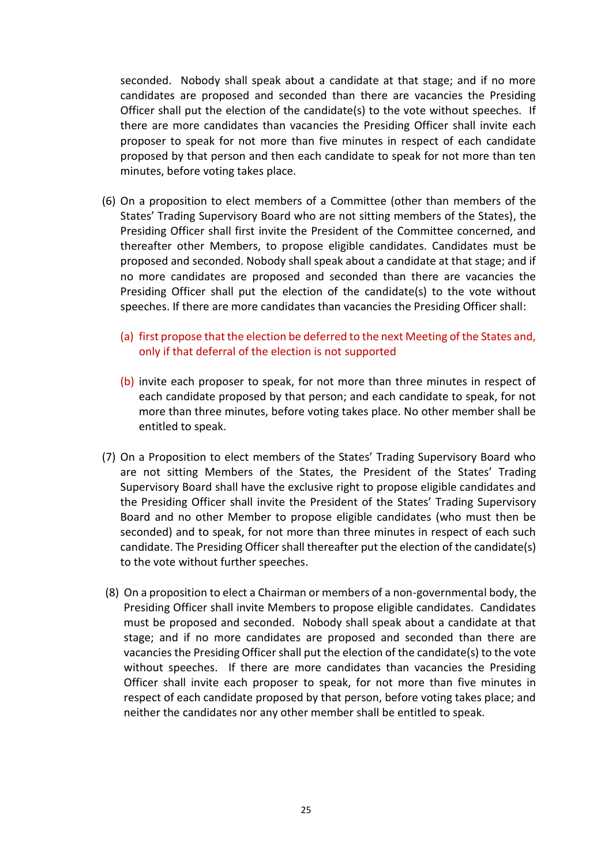seconded. Nobody shall speak about a candidate at that stage; and if no more candidates are proposed and seconded than there are vacancies the Presiding Officer shall put the election of the candidate(s) to the vote without speeches. If there are more candidates than vacancies the Presiding Officer shall invite each proposer to speak for not more than five minutes in respect of each candidate proposed by that person and then each candidate to speak for not more than ten minutes, before voting takes place.

- (6) On a proposition to elect members of a Committee (other than members of the States' Trading Supervisory Board who are not sitting members of the States), the Presiding Officer shall first invite the President of the Committee concerned, and thereafter other Members, to propose eligible candidates. Candidates must be proposed and seconded. Nobody shall speak about a candidate at that stage; and if no more candidates are proposed and seconded than there are vacancies the Presiding Officer shall put the election of the candidate(s) to the vote without speeches. If there are more candidates than vacancies the Presiding Officer shall:
	- (a) first propose that the election be deferred to the next Meeting of the States and, only if that deferral of the election is not supported
	- (b) invite each proposer to speak, for not more than three minutes in respect of each candidate proposed by that person; and each candidate to speak, for not more than three minutes, before voting takes place. No other member shall be entitled to speak.
- (7) On a Proposition to elect members of the States' Trading Supervisory Board who are not sitting Members of the States, the President of the States' Trading Supervisory Board shall have the exclusive right to propose eligible candidates and the Presiding Officer shall invite the President of the States' Trading Supervisory Board and no other Member to propose eligible candidates (who must then be seconded) and to speak, for not more than three minutes in respect of each such candidate. The Presiding Officer shall thereafter put the election of the candidate(s) to the vote without further speeches.
- (8) On a proposition to elect a Chairman or members of a non-governmental body, the Presiding Officer shall invite Members to propose eligible candidates. Candidates must be proposed and seconded. Nobody shall speak about a candidate at that stage; and if no more candidates are proposed and seconded than there are vacancies the Presiding Officer shall put the election of the candidate(s) to the vote without speeches. If there are more candidates than vacancies the Presiding Officer shall invite each proposer to speak, for not more than five minutes in respect of each candidate proposed by that person, before voting takes place; and neither the candidates nor any other member shall be entitled to speak.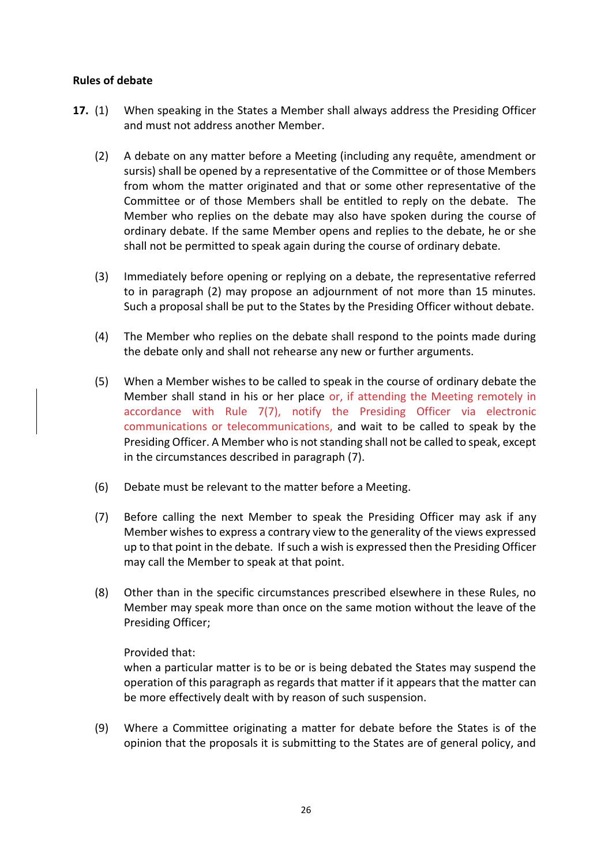#### **Rules of debate**

- **17.** (1) When speaking in the States a Member shall always address the Presiding Officer and must not address another Member.
	- (2) A debate on any matter before a Meeting (including any requête, amendment or sursis) shall be opened by a representative of the Committee or of those Members from whom the matter originated and that or some other representative of the Committee or of those Members shall be entitled to reply on the debate. The Member who replies on the debate may also have spoken during the course of ordinary debate. If the same Member opens and replies to the debate, he or she shall not be permitted to speak again during the course of ordinary debate.
	- (3) Immediately before opening or replying on a debate, the representative referred to in paragraph (2) may propose an adjournment of not more than 15 minutes. Such a proposal shall be put to the States by the Presiding Officer without debate.
	- (4) The Member who replies on the debate shall respond to the points made during the debate only and shall not rehearse any new or further arguments.
	- (5) When a Member wishes to be called to speak in the course of ordinary debate the Member shall stand in his or her place or, if attending the Meeting remotely in accordance with Rule 7(7), notify the Presiding Officer via electronic communications or telecommunications, and wait to be called to speak by the Presiding Officer. A Member who is not standing shall not be called to speak, except in the circumstances described in paragraph (7).
	- (6) Debate must be relevant to the matter before a Meeting.
	- (7) Before calling the next Member to speak the Presiding Officer may ask if any Member wishes to express a contrary view to the generality of the views expressed up to that point in the debate. If such a wish is expressed then the Presiding Officer may call the Member to speak at that point.
	- (8) Other than in the specific circumstances prescribed elsewhere in these Rules, no Member may speak more than once on the same motion without the leave of the Presiding Officer;

#### Provided that:

when a particular matter is to be or is being debated the States may suspend the operation of this paragraph as regards that matter if it appears that the matter can be more effectively dealt with by reason of such suspension.

(9) Where a Committee originating a matter for debate before the States is of the opinion that the proposals it is submitting to the States are of general policy, and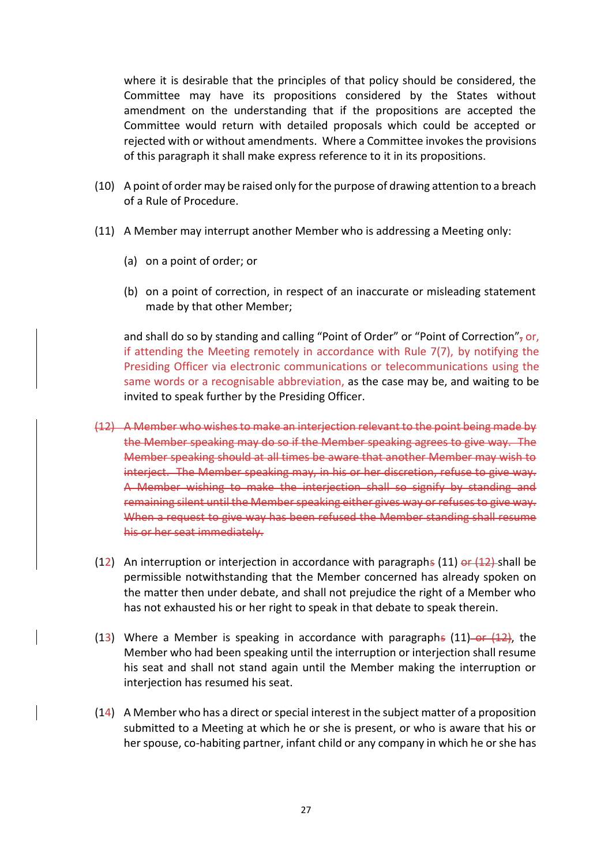where it is desirable that the principles of that policy should be considered, the Committee may have its propositions considered by the States without amendment on the understanding that if the propositions are accepted the Committee would return with detailed proposals which could be accepted or rejected with or without amendments. Where a Committee invokes the provisions of this paragraph it shall make express reference to it in its propositions.

- (10) A point of order may be raised only for the purpose of drawing attention to a breach of a Rule of Procedure.
- (11) A Member may interrupt another Member who is addressing a Meeting only:
	- (a) on a point of order; or
	- (b) on a point of correction, in respect of an inaccurate or misleading statement made by that other Member;

and shall do so by standing and calling "Point of Order" or "Point of Correction", or, if attending the Meeting remotely in accordance with Rule 7(7), by notifying the Presiding Officer via electronic communications or telecommunications using the same words or a recognisable abbreviation, as the case may be, and waiting to be invited to speak further by the Presiding Officer.

- (12) A Member who wishes to make an interjection relevant to the point being made by the Member speaking may do so if the Member speaking agrees to give way. Member speaking should at all times be aware that another Member may wish to interject. The Member speaking may, in his or her discretion, refuse to give way. A Member wishing to make the interjection shall so signify by standing and remaining silent until the Member speaking either gives way or refuses to give way. When a request to give way has been refused the Member standing shall resume his or her seat immediately.
- (12) An interruption or interjection in accordance with paragraphs (11)  $\theta$  (12) shall be permissible notwithstanding that the Member concerned has already spoken on the matter then under debate, and shall not prejudice the right of a Member who has not exhausted his or her right to speak in that debate to speak therein.
- (13) Where a Member is speaking in accordance with paragraphs  $(11)$ -or  $(12)$ , the Member who had been speaking until the interruption or interjection shall resume his seat and shall not stand again until the Member making the interruption or interjection has resumed his seat.
- (14) A Member who has a direct or special interest in the subject matter of a proposition submitted to a Meeting at which he or she is present, or who is aware that his or her spouse, co-habiting partner, infant child or any company in which he or she has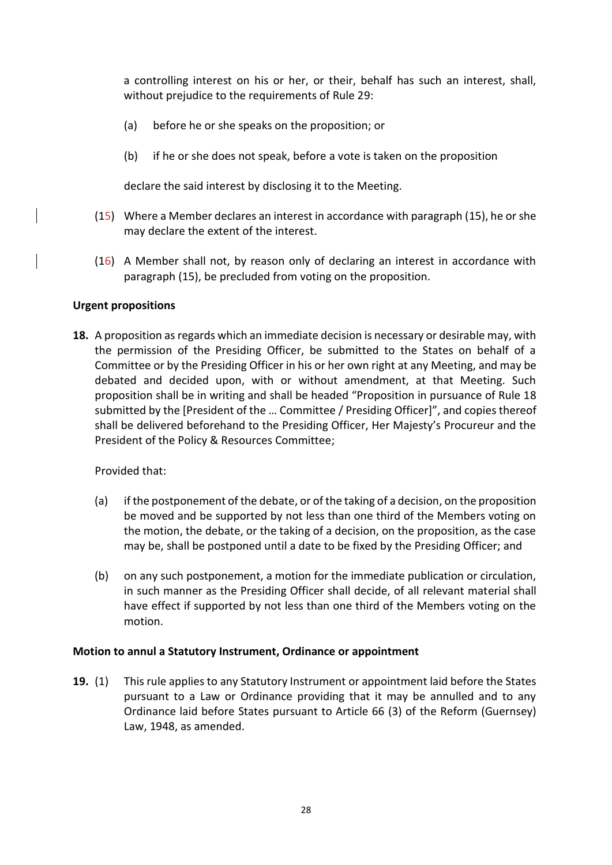a controlling interest on his or her, or their, behalf has such an interest, shall, without prejudice to the requirements of Rule 29:

- (a) before he or she speaks on the proposition; or
- (b) if he or she does not speak, before a vote is taken on the proposition

declare the said interest by disclosing it to the Meeting.

- (15) Where a Member declares an interest in accordance with paragraph (15), he or she may declare the extent of the interest.
- (16) A Member shall not, by reason only of declaring an interest in accordance with paragraph (15), be precluded from voting on the proposition.

#### **Urgent propositions**

**18.** A proposition as regards which an immediate decision is necessary or desirable may, with the permission of the Presiding Officer, be submitted to the States on behalf of a Committee or by the Presiding Officer in his or her own right at any Meeting, and may be debated and decided upon, with or without amendment, at that Meeting. Such proposition shall be in writing and shall be headed "Proposition in pursuance of Rule 18 submitted by the [President of the … Committee / Presiding Officer]", and copies thereof shall be delivered beforehand to the Presiding Officer, Her Majesty's Procureur and the President of the Policy & Resources Committee;

Provided that:

- (a) if the postponement of the debate, or of the taking of a decision, on the proposition be moved and be supported by not less than one third of the Members voting on the motion, the debate, or the taking of a decision, on the proposition, as the case may be, shall be postponed until a date to be fixed by the Presiding Officer; and
- (b) on any such postponement, a motion for the immediate publication or circulation, in such manner as the Presiding Officer shall decide, of all relevant material shall have effect if supported by not less than one third of the Members voting on the motion.

#### **Motion to annul a Statutory Instrument, Ordinance or appointment**

**19.** (1) This rule applies to any Statutory Instrument or appointment laid before the States pursuant to a Law or Ordinance providing that it may be annulled and to any Ordinance laid before States pursuant to Article 66 (3) of the Reform (Guernsey) Law, 1948, as amended.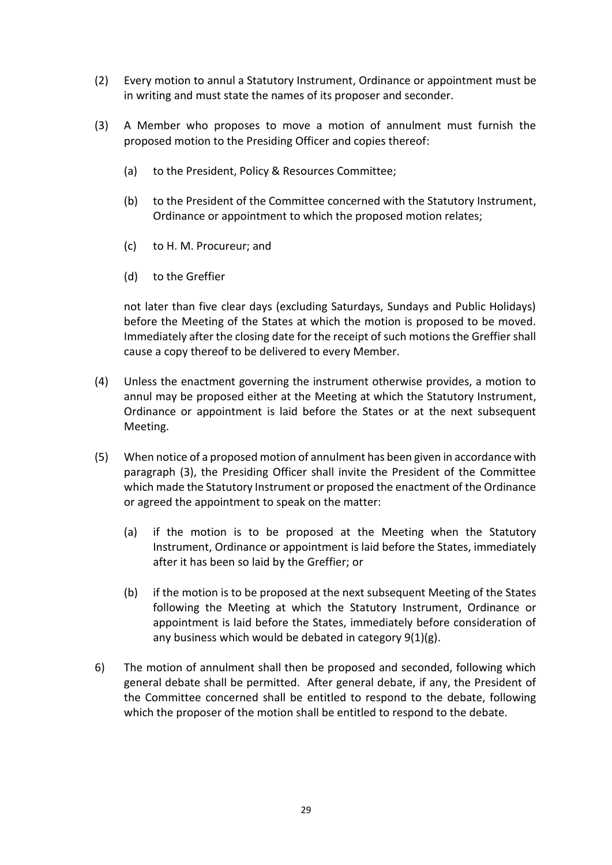- (2) Every motion to annul a Statutory Instrument, Ordinance or appointment must be in writing and must state the names of its proposer and seconder.
- (3) A Member who proposes to move a motion of annulment must furnish the proposed motion to the Presiding Officer and copies thereof:
	- (a) to the President, Policy & Resources Committee;
	- (b) to the President of the Committee concerned with the Statutory Instrument, Ordinance or appointment to which the proposed motion relates;
	- (c) to H. M. Procureur; and
	- (d) to the Greffier

not later than five clear days (excluding Saturdays, Sundays and Public Holidays) before the Meeting of the States at which the motion is proposed to be moved. Immediately after the closing date for the receipt of such motions the Greffier shall cause a copy thereof to be delivered to every Member.

- (4) Unless the enactment governing the instrument otherwise provides, a motion to annul may be proposed either at the Meeting at which the Statutory Instrument, Ordinance or appointment is laid before the States or at the next subsequent Meeting.
- (5) When notice of a proposed motion of annulment has been given in accordance with paragraph (3), the Presiding Officer shall invite the President of the Committee which made the Statutory Instrument or proposed the enactment of the Ordinance or agreed the appointment to speak on the matter:
	- (a) if the motion is to be proposed at the Meeting when the Statutory Instrument, Ordinance or appointment is laid before the States, immediately after it has been so laid by the Greffier; or
	- (b) if the motion is to be proposed at the next subsequent Meeting of the States following the Meeting at which the Statutory Instrument, Ordinance or appointment is laid before the States, immediately before consideration of any business which would be debated in category 9(1)(g).
- 6) The motion of annulment shall then be proposed and seconded, following which general debate shall be permitted. After general debate, if any, the President of the Committee concerned shall be entitled to respond to the debate, following which the proposer of the motion shall be entitled to respond to the debate.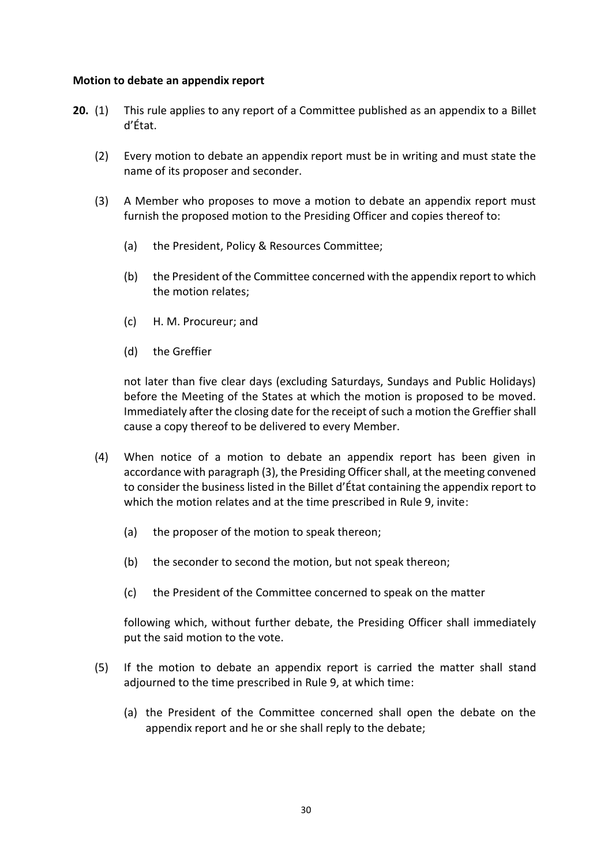#### **Motion to debate an appendix report**

- **20.** (1) This rule applies to any report of a Committee published as an appendix to a Billet d'État.
	- (2) Every motion to debate an appendix report must be in writing and must state the name of its proposer and seconder.
	- (3) A Member who proposes to move a motion to debate an appendix report must furnish the proposed motion to the Presiding Officer and copies thereof to:
		- (a) the President, Policy & Resources Committee;
		- (b) the President of the Committee concerned with the appendix report to which the motion relates;
		- (c) H. M. Procureur; and
		- (d) the Greffier

not later than five clear days (excluding Saturdays, Sundays and Public Holidays) before the Meeting of the States at which the motion is proposed to be moved. Immediately after the closing date for the receipt of such a motion the Greffier shall cause a copy thereof to be delivered to every Member.

- (4) When notice of a motion to debate an appendix report has been given in accordance with paragraph (3), the Presiding Officer shall, at the meeting convened to consider the business listed in the Billet d'État containing the appendix report to which the motion relates and at the time prescribed in Rule 9, invite:
	- (a) the proposer of the motion to speak thereon;
	- (b) the seconder to second the motion, but not speak thereon;
	- (c) the President of the Committee concerned to speak on the matter

following which, without further debate, the Presiding Officer shall immediately put the said motion to the vote.

- (5) If the motion to debate an appendix report is carried the matter shall stand adjourned to the time prescribed in Rule 9, at which time:
	- (a) the President of the Committee concerned shall open the debate on the appendix report and he or she shall reply to the debate;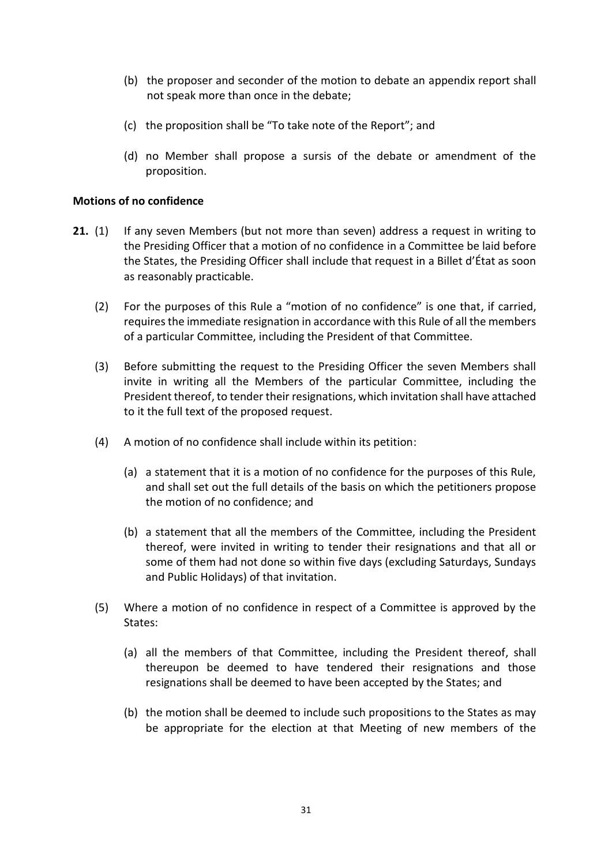- (b) the proposer and seconder of the motion to debate an appendix report shall not speak more than once in the debate;
- (c) the proposition shall be "To take note of the Report"; and
- (d) no Member shall propose a sursis of the debate or amendment of the proposition.

#### **Motions of no confidence**

- **21.** (1) If any seven Members (but not more than seven) address a request in writing to the Presiding Officer that a motion of no confidence in a Committee be laid before the States, the Presiding Officer shall include that request in a Billet d'État as soon as reasonably practicable.
	- (2) For the purposes of this Rule a "motion of no confidence" is one that, if carried, requires the immediate resignation in accordance with this Rule of all the members of a particular Committee, including the President of that Committee.
	- (3) Before submitting the request to the Presiding Officer the seven Members shall invite in writing all the Members of the particular Committee, including the President thereof, to tender their resignations, which invitation shall have attached to it the full text of the proposed request.
	- (4) A motion of no confidence shall include within its petition:
		- (a) a statement that it is a motion of no confidence for the purposes of this Rule, and shall set out the full details of the basis on which the petitioners propose the motion of no confidence; and
		- (b) a statement that all the members of the Committee, including the President thereof, were invited in writing to tender their resignations and that all or some of them had not done so within five days (excluding Saturdays, Sundays and Public Holidays) of that invitation.
	- (5) Where a motion of no confidence in respect of a Committee is approved by the States:
		- (a) all the members of that Committee, including the President thereof, shall thereupon be deemed to have tendered their resignations and those resignations shall be deemed to have been accepted by the States; and
		- (b) the motion shall be deemed to include such propositions to the States as may be appropriate for the election at that Meeting of new members of the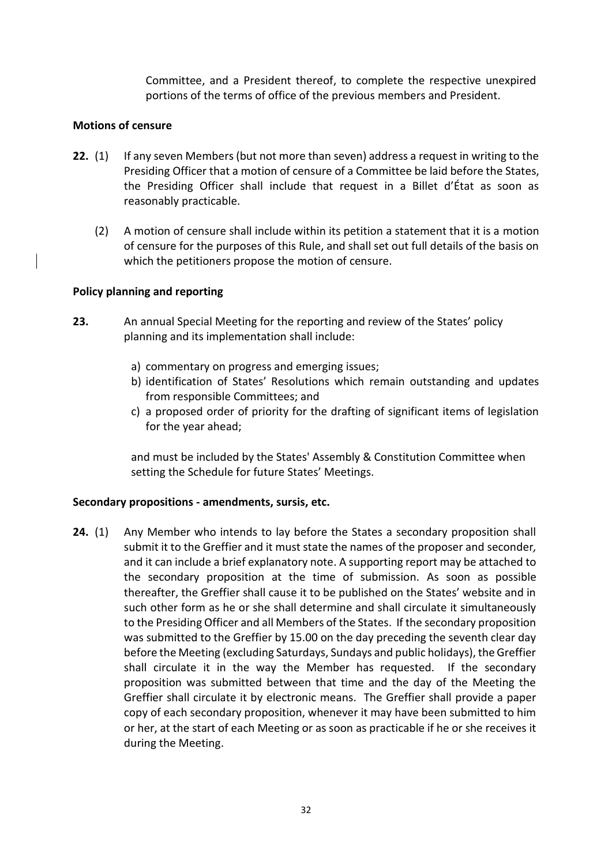Committee, and a President thereof, to complete the respective unexpired portions of the terms of office of the previous members and President.

## **Motions of censure**

- **22.** (1) If any seven Members (but not more than seven) address a request in writing to the Presiding Officer that a motion of censure of a Committee be laid before the States, the Presiding Officer shall include that request in a Billet d'État as soon as reasonably practicable.
	- (2) A motion of censure shall include within its petition a statement that it is a motion of censure for the purposes of this Rule, and shall set out full details of the basis on which the petitioners propose the motion of censure.

## **Policy planning and reporting**

- **23.** An annual Special Meeting for the reporting and review of the States' policy planning and its implementation shall include:
	- a) commentary on progress and emerging issues;
	- b) identification of States' Resolutions which remain outstanding and updates from responsible Committees; and
	- c) a proposed order of priority for the drafting of significant items of legislation for the year ahead;

and must be included by the States' Assembly & Constitution Committee when setting the Schedule for future States' Meetings.

#### **Secondary propositions - amendments, sursis, etc.**

**24.** (1) Any Member who intends to lay before the States a secondary proposition shall submit it to the Greffier and it must state the names of the proposer and seconder*,*  and it can include a brief explanatory note. A supporting report may be attached to the secondary proposition at the time of submission. As soon as possible thereafter, the Greffier shall cause it to be published on the States' website and in such other form as he or she shall determine and shall circulate it simultaneously to the Presiding Officer and all Members of the States. If the secondary proposition was submitted to the Greffier by 15.00 on the day preceding the seventh clear day before the Meeting (excluding Saturdays, Sundays and public holidays), the Greffier shall circulate it in the way the Member has requested. If the secondary proposition was submitted between that time and the day of the Meeting the Greffier shall circulate it by electronic means. The Greffier shall provide a paper copy of each secondary proposition, whenever it may have been submitted to him or her, at the start of each Meeting or as soon as practicable if he or she receives it during the Meeting.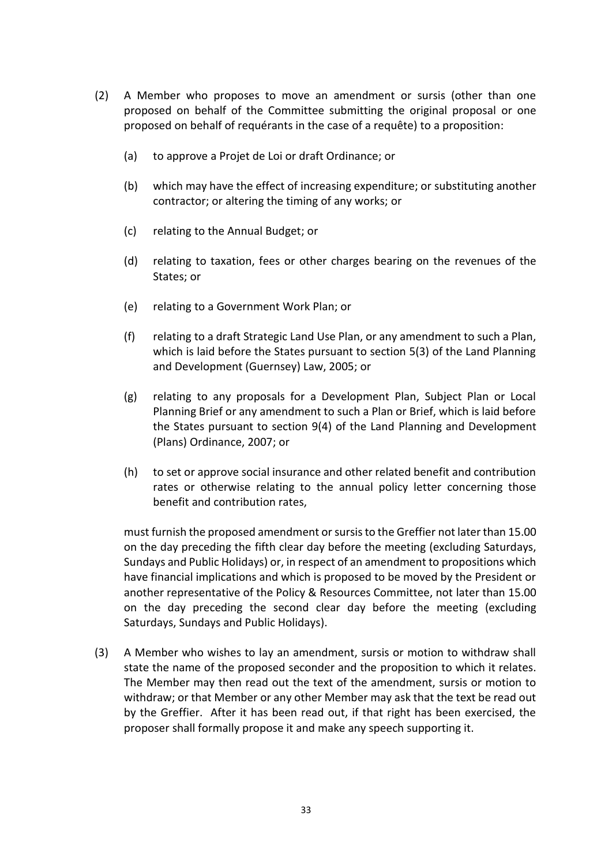- (2) A Member who proposes to move an amendment or sursis (other than one proposed on behalf of the Committee submitting the original proposal or one proposed on behalf of requérants in the case of a requête) to a proposition:
	- (a) to approve a Projet de Loi or draft Ordinance; or
	- (b) which may have the effect of increasing expenditure; or substituting another contractor; or altering the timing of any works; or
	- (c) relating to the Annual Budget; or
	- (d) relating to taxation, fees or other charges bearing on the revenues of the States; or
	- (e) relating to a Government Work Plan; or
	- (f) relating to a draft Strategic Land Use Plan, or any amendment to such a Plan, which is laid before the States pursuant to section 5(3) of the Land Planning and Development (Guernsey) Law, 2005; or
	- (g) relating to any proposals for a Development Plan, Subject Plan or Local Planning Brief or any amendment to such a Plan or Brief, which is laid before the States pursuant to section 9(4) of the Land Planning and Development (Plans) Ordinance, 2007; or
	- (h) to set or approve social insurance and other related benefit and contribution rates or otherwise relating to the annual policy letter concerning those benefit and contribution rates,

must furnish the proposed amendment or sursis to the Greffier not later than 15.00 on the day preceding the fifth clear day before the meeting (excluding Saturdays, Sundays and Public Holidays) or, in respect of an amendment to propositions which have financial implications and which is proposed to be moved by the President or another representative of the Policy & Resources Committee, not later than 15.00 on the day preceding the second clear day before the meeting (excluding Saturdays, Sundays and Public Holidays).

(3) A Member who wishes to lay an amendment, sursis or motion to withdraw shall state the name of the proposed seconder and the proposition to which it relates. The Member may then read out the text of the amendment, sursis or motion to withdraw; or that Member or any other Member may ask that the text be read out by the Greffier. After it has been read out, if that right has been exercised, the proposer shall formally propose it and make any speech supporting it.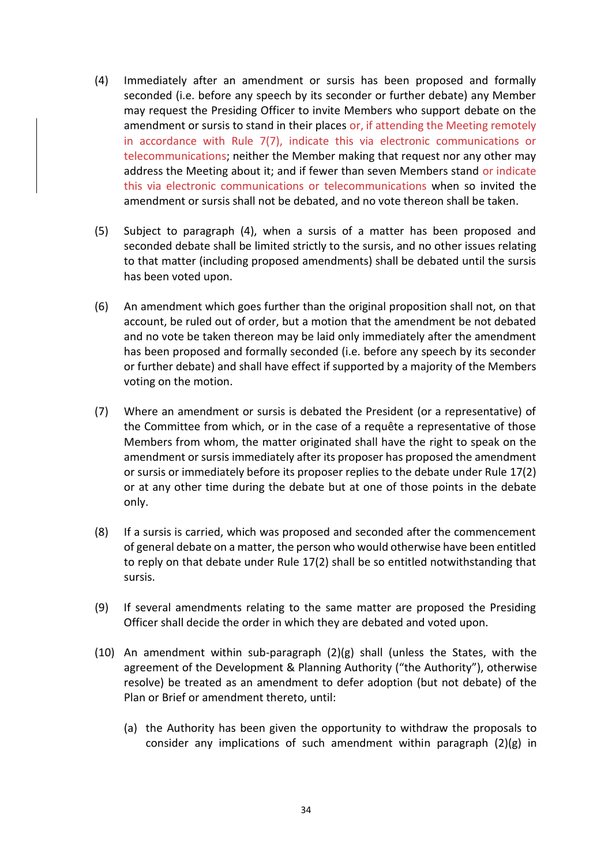- (4) Immediately after an amendment or sursis has been proposed and formally seconded (i.e. before any speech by its seconder or further debate) any Member may request the Presiding Officer to invite Members who support debate on the amendment or sursis to stand in their places or, if attending the Meeting remotely in accordance with Rule 7(7), indicate this via electronic communications or telecommunications; neither the Member making that request nor any other may address the Meeting about it; and if fewer than seven Members stand or indicate this via electronic communications or telecommunications when so invited the amendment or sursis shall not be debated, and no vote thereon shall be taken.
- (5) Subject to paragraph (4), when a sursis of a matter has been proposed and seconded debate shall be limited strictly to the sursis, and no other issues relating to that matter (including proposed amendments) shall be debated until the sursis has been voted upon.
- (6) An amendment which goes further than the original proposition shall not, on that account, be ruled out of order, but a motion that the amendment be not debated and no vote be taken thereon may be laid only immediately after the amendment has been proposed and formally seconded (i.e. before any speech by its seconder or further debate) and shall have effect if supported by a majority of the Members voting on the motion.
- (7) Where an amendment or sursis is debated the President (or a representative) of the Committee from which, or in the case of a requête a representative of those Members from whom, the matter originated shall have the right to speak on the amendment or sursis immediately after its proposer has proposed the amendment or sursis or immediately before its proposer replies to the debate under Rule 17(2) or at any other time during the debate but at one of those points in the debate only.
- (8) If a sursis is carried, which was proposed and seconded after the commencement of general debate on a matter, the person who would otherwise have been entitled to reply on that debate under Rule 17(2) shall be so entitled notwithstanding that sursis.
- (9) If several amendments relating to the same matter are proposed the Presiding Officer shall decide the order in which they are debated and voted upon.
- (10) An amendment within sub-paragraph (2)(g) shall (unless the States, with the agreement of the Development & Planning Authority ("the Authority"), otherwise resolve) be treated as an amendment to defer adoption (but not debate) of the Plan or Brief or amendment thereto, until:
	- (a) the Authority has been given the opportunity to withdraw the proposals to consider any implications of such amendment within paragraph (2)(g) in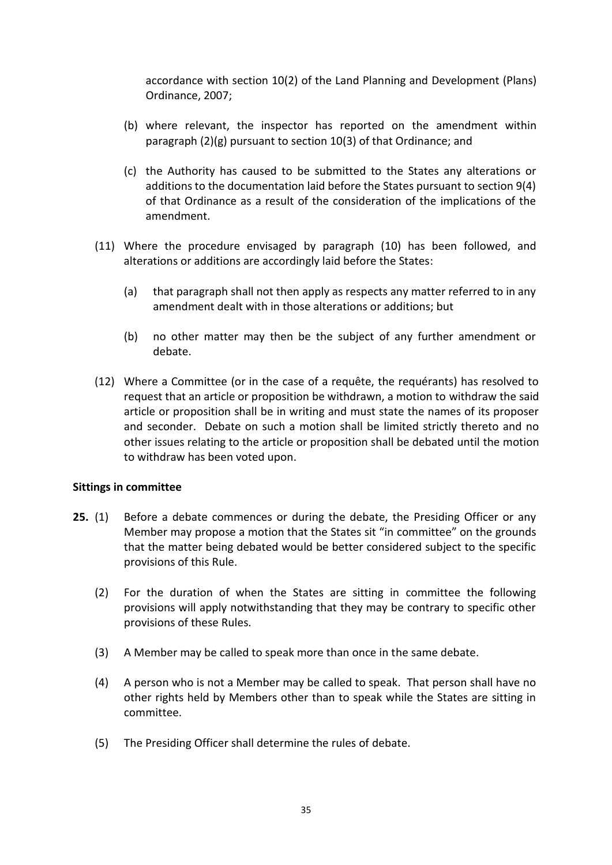accordance with section 10(2) of the Land Planning and Development (Plans) Ordinance, 2007;

- (b) where relevant, the inspector has reported on the amendment within paragraph (2)(g) pursuant to section 10(3) of that Ordinance; and
- (c) the Authority has caused to be submitted to the States any alterations or additions to the documentation laid before the States pursuant to section 9(4) of that Ordinance as a result of the consideration of the implications of the amendment.
- (11) Where the procedure envisaged by paragraph (10) has been followed, and alterations or additions are accordingly laid before the States:
	- (a) that paragraph shall not then apply as respects any matter referred to in any amendment dealt with in those alterations or additions; but
	- (b) no other matter may then be the subject of any further amendment or debate.
- (12) Where a Committee (or in the case of a requête, the requérants) has resolved to request that an article or proposition be withdrawn, a motion to withdraw the said article or proposition shall be in writing and must state the names of its proposer and seconder. Debate on such a motion shall be limited strictly thereto and no other issues relating to the article or proposition shall be debated until the motion to withdraw has been voted upon.

#### **Sittings in committee**

- **25.** (1) Before a debate commences or during the debate, the Presiding Officer or any Member may propose a motion that the States sit "in committee" on the grounds that the matter being debated would be better considered subject to the specific provisions of this Rule.
	- (2) For the duration of when the States are sitting in committee the following provisions will apply notwithstanding that they may be contrary to specific other provisions of these Rules.
	- (3) A Member may be called to speak more than once in the same debate.
	- (4) A person who is not a Member may be called to speak. That person shall have no other rights held by Members other than to speak while the States are sitting in committee.
	- (5) The Presiding Officer shall determine the rules of debate.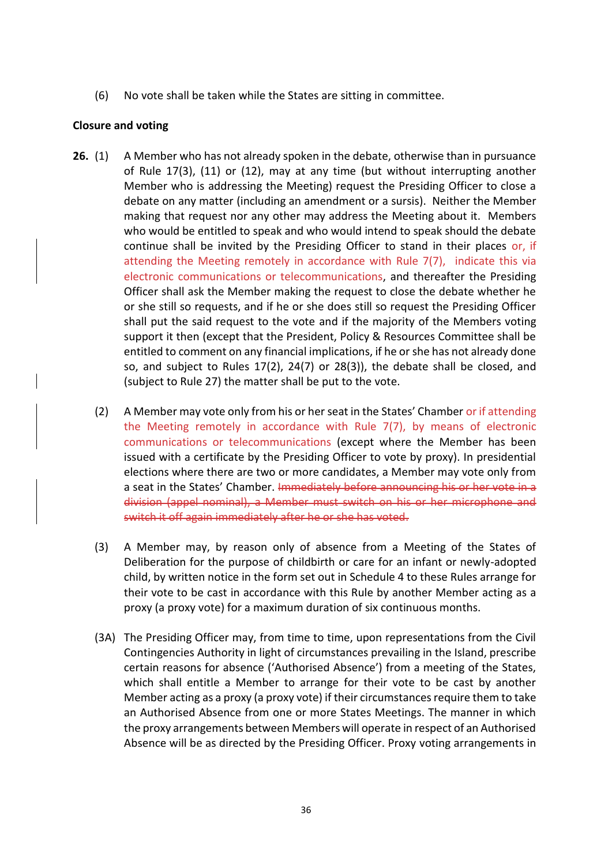(6) No vote shall be taken while the States are sitting in committee.

#### **Closure and voting**

- **26.** (1) A Member who has not already spoken in the debate, otherwise than in pursuance of Rule 17(3), (11) or (12), may at any time (but without interrupting another Member who is addressing the Meeting) request the Presiding Officer to close a debate on any matter (including an amendment or a sursis). Neither the Member making that request nor any other may address the Meeting about it. Members who would be entitled to speak and who would intend to speak should the debate continue shall be invited by the Presiding Officer to stand in their places or, if attending the Meeting remotely in accordance with Rule 7(7), indicate this via electronic communications or telecommunications, and thereafter the Presiding Officer shall ask the Member making the request to close the debate whether he or she still so requests, and if he or she does still so request the Presiding Officer shall put the said request to the vote and if the majority of the Members voting support it then (except that the President, Policy & Resources Committee shall be entitled to comment on any financial implications, if he or she has not already done so, and subject to Rules 17(2), 24(7) or 28(3)), the debate shall be closed, and (subject to Rule 27) the matter shall be put to the vote.
	- (2) A Member may vote only from his or her seat in the States' Chamber or if attending the Meeting remotely in accordance with Rule 7(7), by means of electronic communications or telecommunications (except where the Member has been issued with a certificate by the Presiding Officer to vote by proxy). In presidential elections where there are two or more candidates, a Member may vote only from a seat in the States' Chamber. Immediately before announcing his or her vote in a division (appel nominal), a Member must switch on his or her microphone and switch it off again immediately after he or she has voted.
	- (3) A Member may, by reason only of absence from a Meeting of the States of Deliberation for the purpose of childbirth or care for an infant or newly-adopted child, by written notice in the form set out in Schedule 4 to these Rules arrange for their vote to be cast in accordance with this Rule by another Member acting as a proxy (a proxy vote) for a maximum duration of six continuous months.
	- (3A) The Presiding Officer may, from time to time, upon representations from the Civil Contingencies Authority in light of circumstances prevailing in the Island, prescribe certain reasons for absence ('Authorised Absence') from a meeting of the States, which shall entitle a Member to arrange for their vote to be cast by another Member acting as a proxy (a proxy vote) if their circumstances require them to take an Authorised Absence from one or more States Meetings. The manner in which the proxy arrangements between Members will operate in respect of an Authorised Absence will be as directed by the Presiding Officer. Proxy voting arrangements in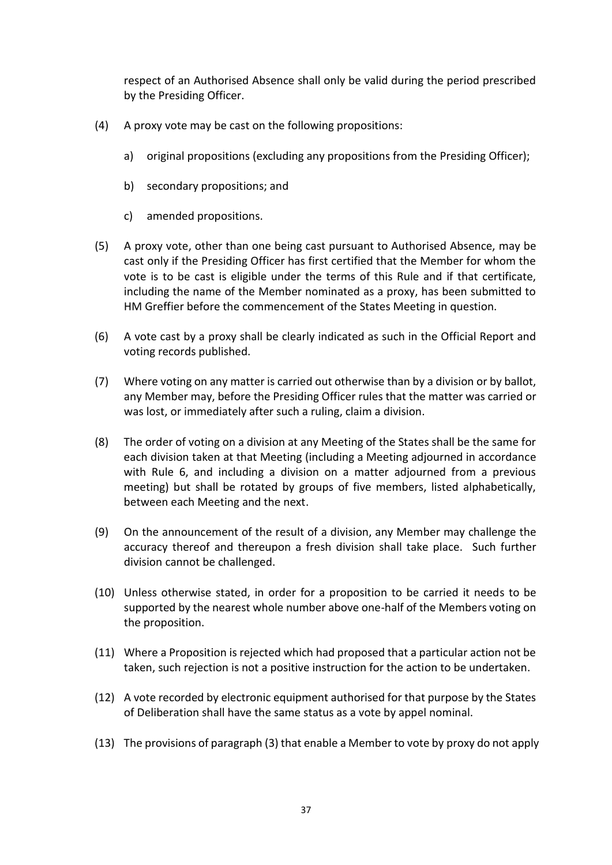respect of an Authorised Absence shall only be valid during the period prescribed by the Presiding Officer.

- (4) A proxy vote may be cast on the following propositions:
	- a) original propositions (excluding any propositions from the Presiding Officer);
	- b) secondary propositions; and
	- c) amended propositions.
- (5) A proxy vote, other than one being cast pursuant to Authorised Absence, may be cast only if the Presiding Officer has first certified that the Member for whom the vote is to be cast is eligible under the terms of this Rule and if that certificate, including the name of the Member nominated as a proxy, has been submitted to HM Greffier before the commencement of the States Meeting in question.
- (6) A vote cast by a proxy shall be clearly indicated as such in the Official Report and voting records published.
- (7) Where voting on any matter is carried out otherwise than by a division or by ballot, any Member may, before the Presiding Officer rules that the matter was carried or was lost, or immediately after such a ruling, claim a division.
- (8) The order of voting on a division at any Meeting of the States shall be the same for each division taken at that Meeting (including a Meeting adjourned in accordance with Rule 6, and including a division on a matter adjourned from a previous meeting) but shall be rotated by groups of five members, listed alphabetically, between each Meeting and the next.
- (9) On the announcement of the result of a division, any Member may challenge the accuracy thereof and thereupon a fresh division shall take place. Such further division cannot be challenged.
- (10) Unless otherwise stated, in order for a proposition to be carried it needs to be supported by the nearest whole number above one-half of the Members voting on the proposition.
- (11) Where a Proposition is rejected which had proposed that a particular action not be taken, such rejection is not a positive instruction for the action to be undertaken.
- (12) A vote recorded by electronic equipment authorised for that purpose by the States of Deliberation shall have the same status as a vote by appel nominal.
- (13) The provisions of paragraph (3) that enable a Member to vote by proxy do not apply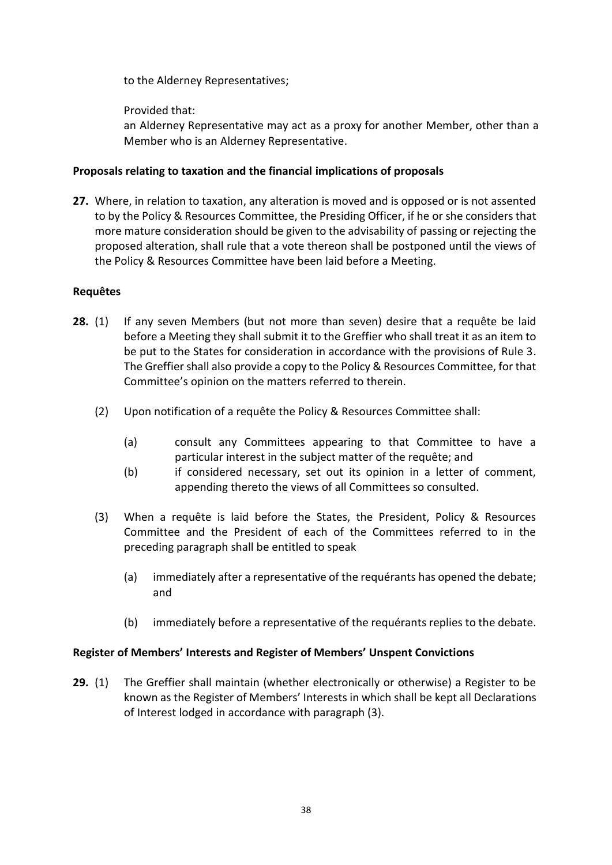to the Alderney Representatives;

Provided that:

an Alderney Representative may act as a proxy for another Member, other than a Member who is an Alderney Representative.

## **Proposals relating to taxation and the financial implications of proposals**

**27.** Where, in relation to taxation, any alteration is moved and is opposed or is not assented to by the Policy & Resources Committee, the Presiding Officer, if he or she considers that more mature consideration should be given to the advisability of passing or rejecting the proposed alteration, shall rule that a vote thereon shall be postponed until the views of the Policy & Resources Committee have been laid before a Meeting.

## **Requêtes**

- **28.** (1) If any seven Members (but not more than seven) desire that a requête be laid before a Meeting they shall submit it to the Greffier who shall treat it as an item to be put to the States for consideration in accordance with the provisions of Rule 3. The Greffier shall also provide a copy to the Policy & Resources Committee, for that Committee's opinion on the matters referred to therein.
	- (2) Upon notification of a requête the Policy & Resources Committee shall:
		- (a) consult any Committees appearing to that Committee to have a particular interest in the subject matter of the requête; and
		- (b) if considered necessary, set out its opinion in a letter of comment, appending thereto the views of all Committees so consulted.
	- (3) When a requête is laid before the States, the President, Policy & Resources Committee and the President of each of the Committees referred to in the preceding paragraph shall be entitled to speak
		- (a) immediately after a representative of the requérants has opened the debate; and
		- (b) immediately before a representative of the requérants replies to the debate.

## **Register of Members' Interests and Register of Members' Unspent Convictions**

**29.** (1) The Greffier shall maintain (whether electronically or otherwise) a Register to be known as the Register of Members' Interests in which shall be kept all Declarations of Interest lodged in accordance with paragraph (3).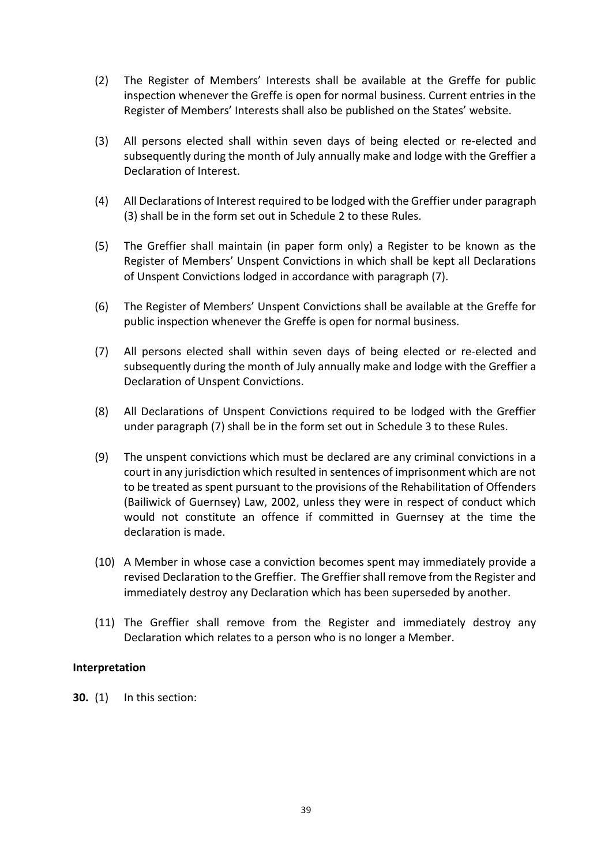- (2) The Register of Members' Interests shall be available at the Greffe for public inspection whenever the Greffe is open for normal business. Current entries in the Register of Members' Interests shall also be published on the States' website.
- (3) All persons elected shall within seven days of being elected or re-elected and subsequently during the month of July annually make and lodge with the Greffier a Declaration of Interest.
- (4) All Declarations of Interest required to be lodged with the Greffier under paragraph (3) shall be in the form set out in Schedule 2 to these Rules.
- (5) The Greffier shall maintain (in paper form only) a Register to be known as the Register of Members' Unspent Convictions in which shall be kept all Declarations of Unspent Convictions lodged in accordance with paragraph (7).
- (6) The Register of Members' Unspent Convictions shall be available at the Greffe for public inspection whenever the Greffe is open for normal business.
- (7) All persons elected shall within seven days of being elected or re-elected and subsequently during the month of July annually make and lodge with the Greffier a Declaration of Unspent Convictions.
- (8) All Declarations of Unspent Convictions required to be lodged with the Greffier under paragraph (7) shall be in the form set out in Schedule 3 to these Rules.
- (9) The unspent convictions which must be declared are any criminal convictions in a court in any jurisdiction which resulted in sentences of imprisonment which are not to be treated as spent pursuant to the provisions of the Rehabilitation of Offenders (Bailiwick of Guernsey) Law, 2002, unless they were in respect of conduct which would not constitute an offence if committed in Guernsey at the time the declaration is made.
- (10) A Member in whose case a conviction becomes spent may immediately provide a revised Declaration to the Greffier. The Greffier shall remove from the Register and immediately destroy any Declaration which has been superseded by another.
- (11) The Greffier shall remove from the Register and immediately destroy any Declaration which relates to a person who is no longer a Member.

#### **Interpretation**

**30.** (1) In this section: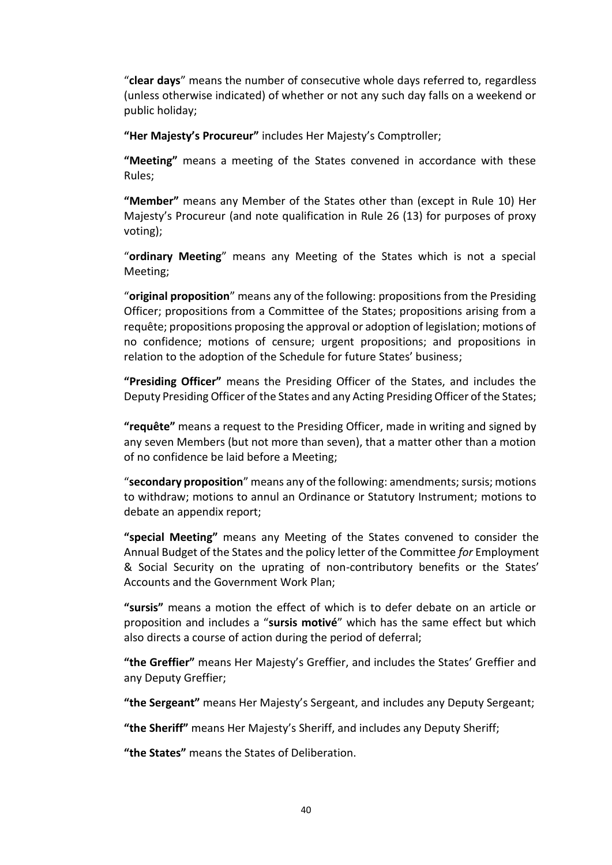"**clear days**" means the number of consecutive whole days referred to, regardless (unless otherwise indicated) of whether or not any such day falls on a weekend or public holiday;

**"Her Majesty's Procureur"** includes Her Majesty's Comptroller;

**"Meeting"** means a meeting of the States convened in accordance with these Rules;

**"Member"** means any Member of the States other than (except in Rule 10) Her Majesty's Procureur (and note qualification in Rule 26 (13) for purposes of proxy voting);

"**ordinary Meeting**" means any Meeting of the States which is not a special Meeting;

"**original proposition**" means any of the following: propositions from the Presiding Officer; propositions from a Committee of the States; propositions arising from a requête; propositions proposing the approval or adoption of legislation; motions of no confidence; motions of censure; urgent propositions; and propositions in relation to the adoption of the Schedule for future States' business;

**"Presiding Officer"** means the Presiding Officer of the States, and includes the Deputy Presiding Officer of the States and any Acting Presiding Officer of the States;

**"requête"** means a request to the Presiding Officer, made in writing and signed by any seven Members (but not more than seven), that a matter other than a motion of no confidence be laid before a Meeting;

"**secondary proposition**" means any of the following: amendments; sursis; motions to withdraw; motions to annul an Ordinance or Statutory Instrument; motions to debate an appendix report;

**"special Meeting"** means any Meeting of the States convened to consider the Annual Budget of the States and the policy letter of the Committee *for* Employment & Social Security on the uprating of non-contributory benefits or the States' Accounts and the Government Work Plan;

**"sursis"** means a motion the effect of which is to defer debate on an article or proposition and includes a "**sursis motivé**" which has the same effect but which also directs a course of action during the period of deferral;

**"the Greffier"** means Her Majesty's Greffier, and includes the States' Greffier and any Deputy Greffier;

**"the Sergeant"** means Her Majesty's Sergeant, and includes any Deputy Sergeant;

**"the Sheriff"** means Her Majesty's Sheriff, and includes any Deputy Sheriff;

**"the States"** means the States of Deliberation.